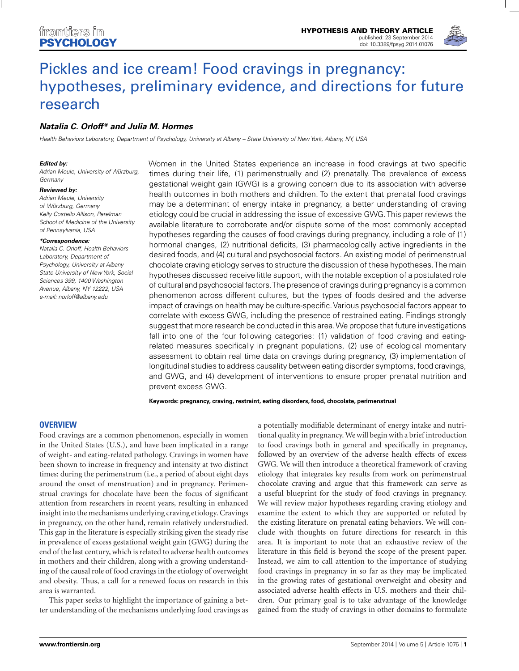

# Pickles and ice cream! Food cravings in pregnancy: [hypotheses, preliminary evidence, and directions for future](http://www.frontiersin.org/Journal/10.3389/fpsyg.2014.01076/abstract) research

# *[Natalia C. Orloff\\*](http://community.frontiersin.org/people/u/184293) and [Julia M. Hormes](http://community.frontiersin.org/people/u/81138)*

Health Behaviors Laboratory, Department of Psychology, University at Albany – State University of New York, Albany, NY, USA

#### *Edited by:*

Adrian Meule, University of Würzburg, **Germany** 

#### *Reviewed by:*

Adrian Meule, University of Würzburg, Germany Kelly Costello Allison, Perelman School of Medicine of the University of Pennsylvania, USA

#### *\*Correspondence:*

Natalia C. Orloff, Health Behaviors Laboratory, Department of Psychology, University at Albany – State University of New York, Social Sciences 399, 1400 Washington Avenue, Albany, NY 12222, USA e-mail: [norloff@albany.edu](mailto:norloff@albany.edu)

Women in the United States experience an increase in food cravings at two specific times during their life, (1) perimenstrually and (2) prenatally. The prevalence of excess gestational weight gain (GWG) is a growing concern due to its association with adverse health outcomes in both mothers and children. To the extent that prenatal food cravings may be a determinant of energy intake in pregnancy, a better understanding of craving etiology could be crucial in addressing the issue of excessive GWG. This paper reviews the available literature to corroborate and/or dispute some of the most commonly accepted hypotheses regarding the causes of food cravings during pregnancy, including a role of (1) hormonal changes, (2) nutritional deficits, (3) pharmacologically active ingredients in the desired foods, and (4) cultural and psychosocial factors. An existing model of perimenstrual chocolate craving etiology serves to structure the discussion of these hypotheses.The main hypotheses discussed receive little support, with the notable exception of a postulated role of cultural and psychosocial factors.The presence of cravings during pregnancy is a common phenomenon across different cultures, but the types of foods desired and the adverse impact of cravings on health may be culture-specific. Various psychosocial factors appear to correlate with excess GWG, including the presence of restrained eating. Findings strongly suggest that more research be conducted in this area.We propose that future investigations fall into one of the four following categories: (1) validation of food craving and eatingrelated measures specifically in pregnant populations, (2) use of ecological momentary assessment to obtain real time data on cravings during pregnancy, (3) implementation of longitudinal studies to address causality between eating disorder symptoms, food cravings, and GWG, and (4) development of interventions to ensure proper prenatal nutrition and prevent excess GWG.

**Keywords: pregnancy, craving, restraint, eating disorders, food, chocolate, perimenstrual**

### **OVERVIEW**

Food cravings are a common phenomenon, especially in women in the United States (U.S.), and have been implicated in a range of weight- and eating-related pathology. Cravings in women have been shown to increase in frequency and intensity at two distinct times: during the perimenstrum (i.e., a period of about eight days around the onset of menstruation) and in pregnancy. Perimenstrual cravings for chocolate have been the focus of significant attention from researchers in recent years, resulting in enhanced insight into the mechanisms underlying craving etiology. Cravings in pregnancy, on the other hand, remain relatively understudied. This gap in the literature is especially striking given the steady rise in prevalence of excess gestational weight gain (GWG) during the end of the last century, which is related to adverse health outcomes in mothers and their children, along with a growing understanding of the causal role of food cravings in the etiology of overweight and obesity. Thus, a call for a renewed focus on research in this area is warranted.

This paper seeks to highlight the importance of gaining a better understanding of the mechanisms underlying food cravings as a potentially modifiable determinant of energy intake and nutritional quality in pregnancy. We will begin with a brief introduction to food cravings both in general and specifically in pregnancy, followed by an overview of the adverse health effects of excess GWG. We will then introduce a theoretical framework of craving etiology that integrates key results from work on perimenstrual chocolate craving and argue that this framework can serve as a useful blueprint for the study of food cravings in pregnancy. We will review major hypotheses regarding craving etiology and examine the extent to which they are supported or refuted by the existing literature on prenatal eating behaviors. We will conclude with thoughts on future directions for research in this area. It is important to note that an exhaustive review of the literature in this field is beyond the scope of the present paper. Instead, we aim to call attention to the importance of studying food cravings in pregnancy in so far as they may be implicated in the growing rates of gestational overweight and obesity and associated adverse health effects in U.S. mothers and their children. Our primary goal is to take advantage of the knowledge gained from the study of cravings in other domains to formulate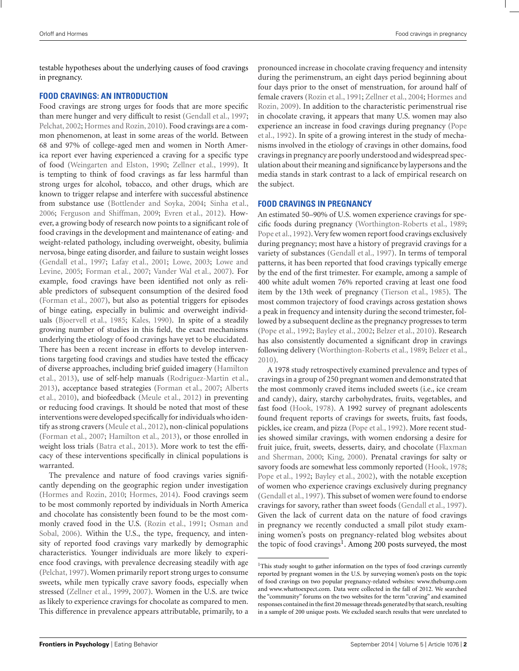testable hypotheses about the underlying causes of food cravings in pregnancy.

## **FOOD CRAVINGS: AN INTRODUCTION**

Food cravings are strong urges for foods that are more specific than mere hunger and very difficult to resist [\(Gendall et al.](#page-11-0), [1997;](#page-11-0) [Pelchat, 2002;](#page-13-0) [Hormes and Rozin](#page-11-0), [2010\)](#page-11-0). Food cravings are a common phenomenon, at least in some areas of the world. Between 68 and 97% of college-aged men and women in North America report ever having experienced a craving for a specific type of food [\(Weingarten and Elston, 1990;](#page-14-0) [Zellner et al.](#page-14-0), [1999](#page-14-0)). It is tempting to think of food cravings as far less harmful than strong urges for alcohol, tobacco, and other drugs, which are known to trigger relapse and interfere with successful abstinence from substance use [\(Bottlender and Soyka](#page-10-0), [2004;](#page-10-0) [Sinha et al.,](#page-13-0) [2006;](#page-13-0) [Ferguson and Shiffman](#page-11-0), [2009;](#page-11-0) [Evren et al., 2012\)](#page-11-0). However, a growing body of research now points to a significant role of food cravings in the development and maintenance of eating- and weight-related pathology, including overweight, obesity, bulimia nervosa, binge eating disorder, and failure to sustain weight losses [\(Gendall et al., 1997;](#page-11-0) [Lafay et al., 2001;](#page-12-0) [Lowe, 2003;](#page-12-0) Lowe and Levine, [2005;](#page-12-0) [Forman et al., 2007](#page-11-0); [Vander Wal et al., 2007](#page-13-0)). For example, food cravings have been identified not only as reliable predictors of subsequent consumption of the desired food [\(Forman et al., 2007\)](#page-11-0), but also as potential triggers for episodes of binge eating, especially in bulimic and overweight individuals [\(Bjoervell et al., 1985](#page-10-0); [Kales](#page-12-0), [1990](#page-12-0)). In spite of a steadily growing number of studies in this field, the exact mechanisms underlying the etiology of food cravings have yet to be elucidated. There has been a recent increase in efforts to develop interventions targeting food cravings and studies have tested the efficacy of d[iverse approaches, including brief guided imagery \(](#page-11-0)Hamilton et al., [2013\)](#page-11-0), use of self-help manuals [\(Rodriguez-Martin et al.,](#page-13-0) [2013\)](#page-13-0)[, acceptance based strategies](#page-10-0) [\(Forman et al.](#page-11-0)[,](#page-10-0) [2007;](#page-11-0) Alberts et al., [2010](#page-10-0)), and biofeedback [\(Meule et al., 2012](#page-12-0)) in preventing or reducing food cravings. It should be noted that most of these interventions were developed specifically for individuals who identify as strong cravers [\(Meule et al., 2012\)](#page-12-0), non-clinical populations [\(Forman et al.](#page-11-0), [2007](#page-11-0); [Hamilton et al.](#page-11-0), [2013](#page-11-0)), or those enrolled in weight loss trials [\(Batra et al., 2013\)](#page-10-0). More work to test the efficacy of these interventions specifically in clinical populations is warranted.

The prevalence and nature of food cravings varies significantly depending on the geographic region under investigation [\(Hormes and Rozin](#page-11-0), [2010;](#page-11-0) [Hormes](#page-11-0), [2014\)](#page-11-0). Food cravings seem to be most commonly reported by individuals in North America and chocolate has consistently been found to be the most commonl[y craved food in the U.S.](#page-12-0) [\(Rozin et al.](#page-13-0)[,](#page-12-0) [1991](#page-13-0)[;](#page-12-0) Osman and Sobal, [2006](#page-12-0)). Within the U.S., the type, frequency, and intensity of reported food cravings vary markedly by demographic characteristics. Younger individuals are more likely to experience food cravings, with prevalence decreasing steadily with age [\(Pelchat](#page-13-0), [1997](#page-13-0)). Women primarily report strong urges to consume sweets, while men typically crave savory foods, especially when stressed [\(Zellner et al., 1999,](#page-14-0) [2007\)](#page-14-0). Women in the U.S. are twice as likely to experience cravings for chocolate as compared to men. This difference in prevalence appears attributable, primarily, to a pronounced increase in chocolate craving frequency and intensity during the perimenstrum, an eight days period beginning about four days prior to the onset of menstruation, for around half of femal[e cravers](#page-11-0) [\(Rozin et al.](#page-13-0)[,](#page-11-0) [1991](#page-13-0)[;](#page-11-0) [Zellner et al., 2004;](#page-14-0) Hormes and Rozin, [2009](#page-11-0)). In addition to the characteristic perimenstrual rise in chocolate craving, it appears that many U.S. women may also expe[rience](#page-13-0) [an](#page-13-0) [increase](#page-13-0) [in](#page-13-0) [food](#page-13-0) [cravings](#page-13-0) [during](#page-13-0) [pregnancy](#page-13-0) [\(](#page-13-0)Pope et al., [1992](#page-13-0)). In spite of a growing interest in the study of mechanisms involved in the etiology of cravings in other domains, food cravings in pregnancy are poorly understood and widespread speculation about their meaning and significance by laypersons and the media stands in stark contrast to a lack of empirical research on the subject.

## **FOOD CRAVINGS IN PREGNANCY**

An estimated 50–90% of U.S. women experience cravings for specific foods during pregnancy [\(Worthington-Roberts et al.](#page-14-0), [1989;](#page-14-0) [Pope et al., 1992\)](#page-13-0). Very few women report food cravings exclusively during pregnancy; most have a history of pregravid cravings for a variety of substances [\(Gendall et al.](#page-11-0), [1997](#page-11-0)). In terms of temporal patterns, it has been reported that food cravings typically emerge by the end of the first trimester. For example, among a sample of 400 white adult women 76% reported craving at least one food item by the 13th week of pregnancy [\(Tierson et al., 1985](#page-13-0)). The most common trajectory of food cravings across gestation shows a peak in frequency and intensity during the second trimester, followed by a subsequent decline as the pregnancy progresses to term [\(Pope et al.](#page-13-0), [1992;](#page-13-0) [Bayley et al.](#page-10-0), [2002;](#page-10-0) [Belzer et al., 2010](#page-10-0)). Research has also consistently documented a significant drop in cravings following delivery [\(Worthington-Roberts et al.](#page-14-0), [1989;](#page-14-0) [Belzer et al.,](#page-10-0) [2010](#page-10-0)).

A 1978 study retrospectively examined prevalence and types of cravings in a group of 250 pregnant women and demonstrated that the most commonly craved items included sweets (i.e., ice cream and candy), dairy, starchy carbohydrates, fruits, vegetables, and fast food [\(Hook, 1978](#page-11-0)). A 1992 survey of pregnant adolescents found frequent reports of cravings for sweets, fruits, fast foods, pickles, ice cream, and pizza [\(Pope et al.](#page-13-0), [1992](#page-13-0)). More recent studies showed similar cravings, with women endorsing a desire for fruit juice, fr[uit, sweets, desserts, dairy, and chocolate \(](#page-11-0)Flaxman and Sherman, [2000;](#page-11-0) [King](#page-12-0), [2000\)](#page-12-0). Prenatal cravings for salty or savory foods are somewhat less commonly reported [\(Hook](#page-11-0), [1978;](#page-11-0) [Pope et al.](#page-13-0), [1992](#page-13-0); [Bayley et al., 2002\)](#page-10-0), with the notable exception of women who experience cravings exclusively during pregnancy [\(Gendall et al.](#page-11-0), [1997](#page-11-0)). This subset of women were found to endorse cravings for savory, rather than sweet foods [\(Gendall et al., 1997](#page-11-0)). Given the lack of current data on the nature of food cravings in pregnancy we recently conducted a small pilot study examining women's posts on pregnancy-related blog websites about the topic of food cravings<sup>1</sup>. Among 200 posts surveyed, the most

<sup>&</sup>lt;sup>1</sup>This study sought to gather information on the types of food cravings currently reported by pregnant women in the U.S. by surveying women's posts on the topic of food cravings on two popular pregnancy-related websites: [www.thebump.com](http://www.thebump.com) an[d www.whattoexpect.com.](http://www.whattoexpect.com) Data were collected in the fall of 2012. We searched the "community" forums on the two websites for the term "craving" and examined responses contained in the first 20 message threads generated by that search, resulting in a sample of 200 unique posts. We excluded search results that were unrelated to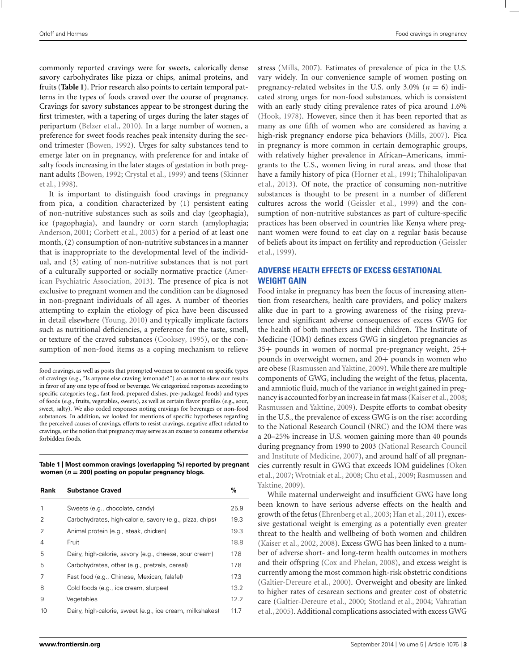<span id="page-2-0"></span>commonly reported cravings were for sweets, calorically dense savory carbohydrates like pizza or chips, animal proteins, and fruits (**Table 1**). Prior research also points to certain temporal patterns in the types of foods craved over the course of pregnancy. Cravings for savory substances appear to be strongest during the first trimester, with a tapering of urges during the later stages of peripartum [\(Belzer et al., 2010\)](#page-10-0). In a large number of women, a preference for sweet foods reaches peak intensity during the second trimester [\(Bowen](#page-10-0), [1992](#page-10-0)). Urges for salty substances tend to emerge later on in pregnancy, with preference for and intake of salty foods increasing in the later stages of gestation in both pregnant adults [\(Bowen](#page-10-0), [1992;](#page-10-0) [Crystal et al.](#page-11-0)[,](#page-13-0) [1999](#page-11-0)[\) and teens \(](#page-13-0)Skinner et al., [1998\)](#page-13-0).

It is important to distinguish food cravings in pregnancy from pica, a condition characterized by (1) persistent eating of non-nutritive substances such as soils and clay (geophagia), ice (pagophagia), and laundry or corn starch (amylophagia; [Anderson](#page-10-0), [2001](#page-10-0); [Corbett et al.](#page-11-0), [2003](#page-11-0)) for a period of at least one month, (2) consumption of non-nutritive substances in a manner that is inappropriate to the developmental level of the individual, and (3) eating of non-nutritive substances that is not part of a culturally supported or socially normative practice (American Psychiatric Association, [2013\)](#page-10-0). The presence of pica is not exclusive to pregnant women and the condition can be diagnosed in non-pregnant individuals of all ages. A number of theories attempting to explain the etiology of pica have been discussed in detail elsewhere [\(Young, 2010\)](#page-14-0) and typically implicate factors such as nutritional deficiencies, a preference for the taste, smell, or texture of the craved substances [\(Cooksey](#page-11-0), [1995](#page-11-0)), or the consumption of non-food items as a coping mechanism to relieve

**Table 1 | Most common cravings (overlapping %) reported by pregnant women (***n* **= 200) posting on popular pregnancy blogs.**

| Rank | <b>Substance Craved</b>                                  | %    |
|------|----------------------------------------------------------|------|
| 1    | Sweets (e.g., chocolate, candy)                          | 25.9 |
| 2    | Carbohydrates, high-calorie, savory (e.g., pizza, chips) | 19.3 |
| 2    | Animal protein (e.g., steak, chicken)                    | 19.3 |
| 4    | Fruit                                                    | 18.8 |
| 5    | Dairy, high-calorie, savory (e.g., cheese, sour cream)   | 17.8 |
| 5    | Carbohydrates, other (e.g., pretzels, cereal)            | 17.8 |
| 7    | Fast food (e.g., Chinese, Mexican, falafel)              | 17.3 |
| 8    | Cold foods (e.g., ice cream, slurpee)                    | 13.2 |
| 9    | Vegetables                                               | 12.2 |
| 10   | Dairy, high-calorie, sweet (e.g., ice cream, milkshakes) | 11.7 |

stress [\(Mills, 2007](#page-12-0)). Estimates of prevalence of pica in the U.S. vary widely. In our convenience sample of women posting on pregnancy-related websites in the U.S. only  $3.0\%$  ( $n = 6$ ) indicated strong urges for non-food substances, which is consistent with an early study citing prevalence rates of pica around 1.6% [\(Hook](#page-11-0), [1978\)](#page-11-0). However, since then it has been reported that as many as one fifth of women who are considered as having a high-risk pregnancy endorse pica behaviors [\(Mills](#page-12-0), [2007\)](#page-12-0). Pica in pregnancy is more common in certain demographic groups, with relatively higher prevalence in African–Americans, immigrants to the U.S., women living in rural areas, and those that have [a family history of pica](#page-13-0) [\(Horner et al.](#page-12-0)[,](#page-13-0) [1991](#page-12-0)[;](#page-13-0) Thihalolipavan et al., [2013](#page-13-0)). Of note, the practice of consuming non-nutritive substances is thought to be present in a number of different cultures across the world [\(Geissler et al.](#page-11-0), [1999\)](#page-11-0) and the consumption of non-nutritive substances as part of culture-specific practices has been observed in countries like Kenya where pregnant women were found to eat clay on a regular basis because of b[eliefs about its impact on fertility and reproduction \(](#page-11-0)Geissler et al., [1999\)](#page-11-0).

# **ADVERSE HEALTH EFFECTS OF EXCESS GESTATIONAL WEIGHT GAIN**

Food intake in pregnancy has been the focus of increasing attention from researchers, health care providers, and policy makers alike due in part to a growing awareness of the rising prevalence and significant adverse consequences of excess GWG for the health of both mothers and their children. The Institute of Medicine (IOM) defines excess GWG in singleton pregnancies as 35+ pounds in women of normal pre-pregnancy weight, 25+ pounds in overweight women, and 20+ pounds in women who are obese [\(Rasmussen and Yaktine](#page-13-0), [2009\)](#page-13-0). While there are multiple components of GWG, including the weight of the fetus, placenta, and amniotic fluid, much of the variance in weight gained in preg-nancy is accounted for by an increase in fat mass [\(Kaiser et al.](#page-12-0), [2008;](#page-12-0) [Rasmussen and Yaktine](#page-13-0), [2009](#page-13-0)). Despite efforts to combat obesity in the U.S., the prevalence of excess GWG is on the rise: according to the National Research Council (NRC) and the IOM there was a 20–25% increase in U.S. women gaining more than 40 pounds during pregnancy from 1[990](#page-12-0) [to](#page-12-0) [2003](#page-12-0) [\(](#page-12-0)National Research Council and Institute of Medicine, [2007](#page-12-0)), and around half of all pregnancies [currently](#page-12-0) [result](#page-12-0) [in](#page-12-0) [GWG](#page-12-0) [that](#page-12-0) [exceeds](#page-12-0) [IOM](#page-12-0) [guidelines](#page-12-0) [\(](#page-12-0)Oken et al., [2007;](#page-12-0) [Wrotniak et al.](#page-14-0)[,](#page-13-0) [2008;](#page-14-0) [Chu et al., 2009](#page-10-0); Rasmussen and Yaktine, [2009](#page-13-0)).

While maternal underweight and insufficient GWG have long been known to have serious adverse effects on the health and growth of the fetus [\(Ehrenberg et al., 2003;](#page-11-0) [Han et al.](#page-11-0), [2011\)](#page-11-0), excessive gestational weight is emerging as a potentially even greater threat to the health and wellbeing of both women and children [\(Kaiser et al., 2002,](#page-12-0) [2008](#page-12-0)). Excess GWG has been linked to a number of adverse short- and long-term health outcomes in mothers and their offspring [\(Cox and Phelan](#page-11-0), [2008](#page-11-0)), and excess weight is currently among the most common high-risk obstetric conditions [\(Galtier-Dereure et al., 2000\)](#page-11-0). Overweight and obesity are linked to higher rates of cesarean sections and greater cost of obstetric care[\(Galtier-Dereure et al.](#page-11-0)[,](#page-13-0) [2000](#page-11-0)[;](#page-13-0) [Stotland et al.](#page-13-0), [2004;](#page-13-0) Vahratian et al., [2005](#page-13-0)). Additional complications associated with excess GWG

food cravings, as well as posts that prompted women to comment on specific types of cravings (e.g., "Is anyone else craving lemonade?") so as not to skew our results in favor of any one type of food or beverage. We categorized responses according to specific categories (e.g., fast food, prepared dishes, pre-packaged foods) and types of foods (e.g., fruits, vegetables, sweets), as well as certain flavor profiles (e.g., sour, sweet, salty). We also coded responses noting cravings for beverages or non-food substances. In addition, we looked for mentions of specific hypotheses regarding the perceived causes of cravings, efforts to resist cravings, negative affect related to cravings, or the notion that pregnancy may serve as an excuse to consume otherwise forbidden foods.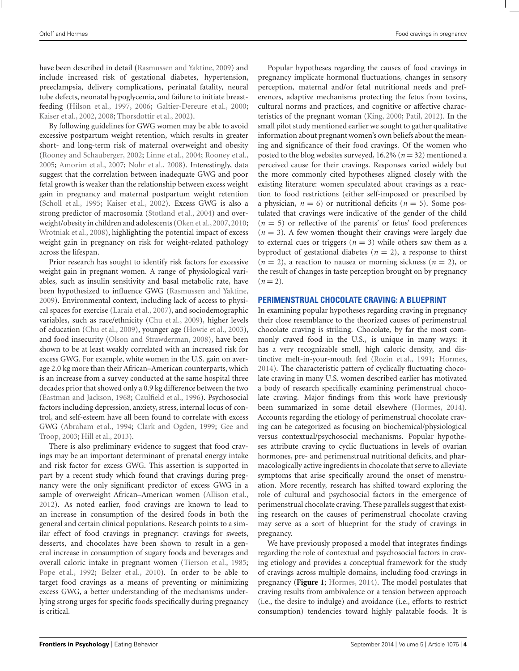have been described in detail [\(Rasmussen and Yaktine](#page-13-0), [2009\)](#page-13-0) and include increased risk of gestational diabetes, hypertension, preeclampsia, delivery complications, perinatal fatality, neural tube defects, neonatal hypoglycemia, and failure to initiate breastfeeding [\(Hilson et al., 1997](#page-11-0), [2006;](#page-11-0) [Galtier-Dereure et al.](#page-11-0), [2000;](#page-11-0) [Kaiser et al.](#page-12-0), [2002,](#page-12-0) [2008;](#page-12-0) [Thorsdottir et al., 2002](#page-13-0)).

By following guidelines for GWG women may be able to avoid excessive postpartum weight retention, which results in greater short- and long-term risk of maternal overweight and obesity [\(Rooney and Schauberger](#page-13-0), [2002;](#page-13-0) [Linne et al.](#page-12-0), [2004](#page-12-0); [Rooney et al.](#page-13-0), [2005;](#page-13-0) [Amorim et al., 2007](#page-10-0); [Nohr et al.](#page-12-0), [2008](#page-12-0)). Interestingly, data suggest that the correlation between inadequate GWG and poor fetal growth is weaker than the relationship between excess weight gain in pregnancy and maternal postpartum weight retention [\(Scholl et al.](#page-13-0), [1995;](#page-13-0) [Kaiser et al., 2002](#page-12-0)). Excess GWG is also a strong predictor of macrosomia [\(Stotland et al., 2004\)](#page-13-0) and overweight/obesity in children and adolescents [\(Oken et al.,2007](#page-12-0),[2010;](#page-12-0) [Wrotniak et al., 2008](#page-14-0)), highlighting the potential impact of excess weight gain in pregnancy on risk for weight-related pathology across the lifespan.

Prior research has sought to identify risk factors for excessive weight gain in pregnant women. A range of physiological variables, such as insulin sensitivity and basal metabolic rate, have been hypothesized to influence GWG [\(Rasmussen and Yaktine,](#page-13-0) [2009\)](#page-13-0). Environmental context, including lack of access to physical spaces for exercise [\(Laraia et al.](#page-12-0), [2007\)](#page-12-0), and sociodemographic variables, such as race/ethnicity [\(Chu et al.](#page-10-0), [2009\)](#page-10-0), higher levels of education [\(Chu et al., 2009\)](#page-10-0), younger age [\(Howie et al., 2003](#page-12-0)), and food insecurity [\(Olson and Strawderman, 2008\)](#page-12-0), have been shown to be at least weakly correlated with an increased risk for excess GWG. For example, white women in the U.S. gain on average 2.0 kg more than their African–American counterparts, which is an increase from a survey conducted at the same hospital three decades prior that showed only a 0.9 kg difference between the two [\(Eastman and Jackson](#page-11-0), [1968](#page-11-0); [Caulfield et al., 1996\)](#page-10-0). Psychosocial factors including depression, anxiety, stress, internal locus of control, and self-esteem have all been found to correlate with excess GWG [\(Abraham et al.](#page-10-0), [1994](#page-10-0); [Clark and Ogden, 1999;](#page-11-0) Gee and Troop, [2003;](#page-11-0) [Hill et al., 2013](#page-11-0)).

There is also preliminary evidence to suggest that food cravings may be an important determinant of prenatal energy intake and risk factor for excess GWG. This assertion is supported in part by a recent study which found that cravings during pregnancy were the only significant predictor of excess GWG in a sample of overweight African–American women [\(Allison et al.,](#page-10-0) [2012\)](#page-10-0). As noted earlier, food cravings are known to lead to an increase in consumption of the desired foods in both the general and certain clinical populations. Research points to a similar effect of food cravings in pregnancy: cravings for sweets, desserts, and chocolates have been shown to result in a general increase in consumption of sugary foods and beverages and overall caloric intake in pregnant women [\(Tierson et al., 1985;](#page-13-0) [Pope et al., 1992;](#page-13-0) [Belzer et al., 2010\)](#page-10-0). In order to be able to target food cravings as a means of preventing or minimizing excess GWG, a better understanding of the mechanisms underlying strong urges for specific foods specifically during pregnancy is critical.

Popular hypotheses regarding the causes of food cravings in pregnancy implicate hormonal fluctuations, changes in sensory perception, maternal and/or fetal nutritional needs and preferences, adaptive mechanisms protecting the fetus from toxins, cultural norms and practices, and cognitive or affective characteristics of the pregnant woman [\(King](#page-12-0), [2000](#page-12-0); [Patil](#page-12-0), [2012](#page-12-0)). In the small pilot study mentioned earlier we sought to gather qualitative information about pregnant women's own beliefs about the meaning and significance of their food cravings. Of the women who posted to the blog websites surveyed, 16.2% (*n* = 32) mentioned a perceived cause for their cravings. Responses varied widely but the more commonly cited hypotheses aligned closely with the existing literature: women speculated about cravings as a reaction to food restrictions (either self-imposed or prescribed by a physician,  $n = 6$ ) or nutritional deficits ( $n = 5$ ). Some postulated that cravings were indicative of the gender of the child  $(n = 5)$  or reflective of the parents' or fetus' food preferences  $(n = 3)$ . A few women thought their cravings were largely due to external cues or triggers  $(n = 3)$  while others saw them as a byproduct of gestational diabetes  $(n = 2)$ , a response to thirst  $(n = 2)$ , a reaction to nausea or morning sickness  $(n = 2)$ , or the result of changes in taste perception brought on by pregnancy  $(n=2)$ .

## **PERIMENSTRUAL CHOCOLATE CRAVING: A BLUEPRINT**

In examining popular hypotheses regarding craving in pregnancy their close resemblance to the theorized causes of perimenstrual chocolate craving is striking. Chocolate, by far the most commonly craved food in the U.S., is unique in many ways: it has a very recognizable smell, high caloric density, and distinctive melt-in-your-mouth feel [\(Rozin et al.](#page-13-0), [1991](#page-13-0); [Hormes,](#page-11-0) [2014](#page-11-0)). The characteristic pattern of cyclically fluctuating chocolate craving in many U.S. women described earlier has motivated a body of research specifically examining perimenstrual chocolate craving. Major findings from this work have previously been summarized in some detail elsewhere [\(Hormes, 2014](#page-11-0)). Accounts regarding the etiology of perimenstrual chocolate craving can be categorized as focusing on biochemical/physiological versus contextual/psychosocial mechanisms. Popular hypotheses attribute craving to cyclic fluctuations in levels of ovarian hormones, pre- and perimenstrual nutritional deficits, and pharmacologically active ingredients in chocolate that serve to alleviate symptoms that arise specifically around the onset of menstruation. More recently, research has shifted toward exploring the role of cultural and psychosocial factors in the emergence of perimenstrual chocolate craving. These parallels suggest that existing research on the causes of perimenstrual chocolate craving may serve as a sort of blueprint for the study of cravings in pregnancy.

We have previously proposed a model that integrates findings regarding the role of contextual and psychosocial factors in craving etiology and provides a conceptual framework for the study of cravings across multiple domains, including food cravings in pregnancy (**[Figure 1](#page-4-0)**; [Hormes, 2014\)](#page-11-0). The model postulates that craving results from ambivalence or a tension between approach (i.e., the desire to indulge) and avoidance (i.e., efforts to restrict consumption) tendencies toward highly palatable foods. It is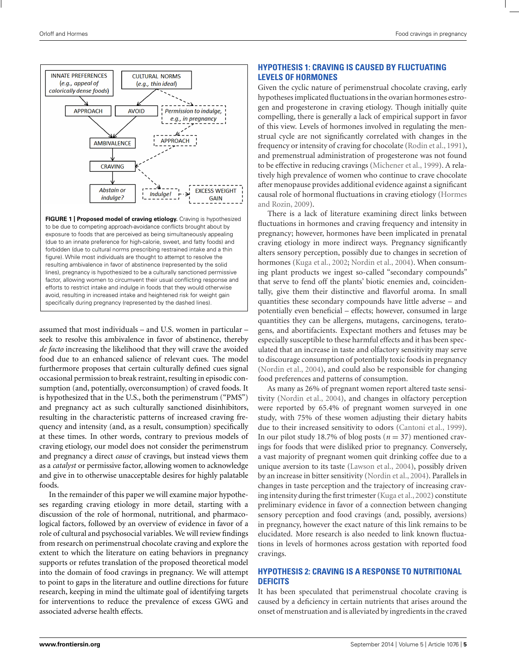<span id="page-4-0"></span>

**FIGURE 1 | Proposed model of craving etiology.** Craving is hypothesized to be due to competing approach-avoidance conflicts brought about by exposure to foods that are perceived as being simultaneously appealing (due to an innate preference for high-calorie, sweet, and fatty foods) and forbidden (due to cultural norms prescribing restrained intake and a thin figure). While most individuals are thought to attempt to resolve the resulting ambivalence in favor of abstinence (represented by the solid lines), pregnancy is hypothesized to be a culturally sanctioned permissive factor, allowing women to circumvent their usual conflicting response and efforts to restrict intake and indulge in foods that they would otherwise avoid, resulting in increased intake and heightened risk for weight gain specifically during pregnancy (represented by the dashed lines).

assumed that most individuals – and U.S. women in particular – seek to resolve this ambivalence in favor of abstinence, thereby *de facto* increasing the likelihood that they will crave the avoided food due to an enhanced salience of relevant cues. The model furthermore proposes that certain culturally defined cues signal occasional permission to break restraint, resulting in episodic consumption (and, potentially, overconsumption) of craved foods. It is hypothesized that in the U.S., both the perimenstrum ("PMS") and pregnancy act as such culturally sanctioned disinhibitors, resulting in the characteristic patterns of increased craving frequency and intensity (and, as a result, consumption) specifically at these times. In other words, contrary to previous models of craving etiology, our model does not consider the perimenstrum and pregnancy a direct *cause* of cravings, but instead views them as a *catalyst* or permissive factor, allowing women to acknowledge and give in to otherwise unacceptable desires for highly palatable foods.

In the remainder of this paper we will examine major hypotheses regarding craving etiology in more detail, starting with a discussion of the role of hormonal, nutritional, and pharmacological factors, followed by an overview of evidence in favor of a role of cultural and psychosocial variables. We will review findings from research on perimenstrual chocolate craving and explore the extent to which the literature on eating behaviors in pregnancy supports or refutes translation of the proposed theoretical model into the domain of food cravings in pregnancy. We will attempt to point to gaps in the literature and outline directions for future research, keeping in mind the ultimate goal of identifying targets for interventions to reduce the prevalence of excess GWG and associated adverse health effects.

# **HYPOTHESIS 1: CRAVING IS CAUSED BY FLUCTUATING LEVELS OF HORMONES**

Given the cyclic nature of perimenstrual chocolate craving, early hypotheses implicated fluctuations in the ovarian hormones estrogen and progesterone in craving etiology. Though initially quite compelling, there is generally a lack of empirical support in favor of this view. Levels of hormones involved in regulating the menstrual cycle are not significantly correlated with changes in the frequency or intensity of craving for chocolate [\(Rodin et al., 1991](#page-13-0)), and premenstrual administration of progesterone was not found to be effective in reducing cravings [\(Michener et al., 1999\)](#page-12-0). A relatively high prevalence of women who continue to crave chocolate after menopause provides additional evidence against a significant causal rol[e](#page-11-0) [of](#page-11-0) [hormonal](#page-11-0) [fluctuations](#page-11-0) [in](#page-11-0) [craving](#page-11-0) [etiology](#page-11-0) [\(](#page-11-0)Hormes and Rozin, [2009](#page-11-0)).

There is a lack of literature examining direct links between fluctuations in hormones and craving frequency and intensity in pregnancy; however, hormones have been implicated in prenatal craving etiology in more indirect ways. Pregnancy significantly alters sensory perception, possibly due to changes in secretion of hormones [\(Kuga et al., 2002](#page-12-0); [Nordin et al., 2004](#page-12-0)). When consuming plant products we ingest so-called "secondary compounds" that serve to fend off the plants' biotic enemies and, coincidentally, give them their distinctive and flavorful aroma. In small quantities these secondary compounds have little adverse – and potentially even beneficial – effects; however, consumed in large quantities they can be allergens, mutagens, carcinogens, teratogens, and abortifacients. Expectant mothers and fetuses may be especially susceptible to these harmful effects and it has been speculated that an increase in taste and olfactory sensitivity may serve to discourage consumption of potentially toxic foods in pregnancy [\(Nordin et al.](#page-12-0), [2004](#page-12-0)), and could also be responsible for changing food preferences and patterns of consumption.

As many as 26% of pregnant women report altered taste sensitivity [\(Nordin et al., 2004](#page-12-0)), and changes in olfactory perception were reported by 65.4% of pregnant women surveyed in one study, with 75% of these women adjusting their dietary habits due to their increased sensitivity to odors [\(Cantoni et al.](#page-10-0), [1999](#page-10-0)). In our pilot study 18.7% of blog posts ( $n = 37$ ) mentioned cravings for foods that were disliked prior to pregnancy. Conversely, a vast majority of pregnant women quit drinking coffee due to a unique aversion to its taste [\(Lawson et al., 2004\)](#page-12-0), possibly driven by an increase in bitter sensitivity [\(Nordin et al.](#page-12-0), [2004](#page-12-0)). Parallels in changes in taste perception and the trajectory of increasing craving intensity during the first trimester [\(Kuga et al., 2002](#page-12-0)) constitute preliminary evidence in favor of a connection between changing sensory perception and food cravings (and, possibly, aversions) in pregnancy, however the exact nature of this link remains to be elucidated. More research is also needed to link known fluctuations in levels of hormones across gestation with reported food cravings.

# **HYPOTHESIS 2: CRAVING IS A RESPONSE TO NUTRITIONAL DEFICITS**

It has been speculated that perimenstrual chocolate craving is caused by a deficiency in certain nutrients that arises around the onset of menstruation and is alleviated by ingredients in the craved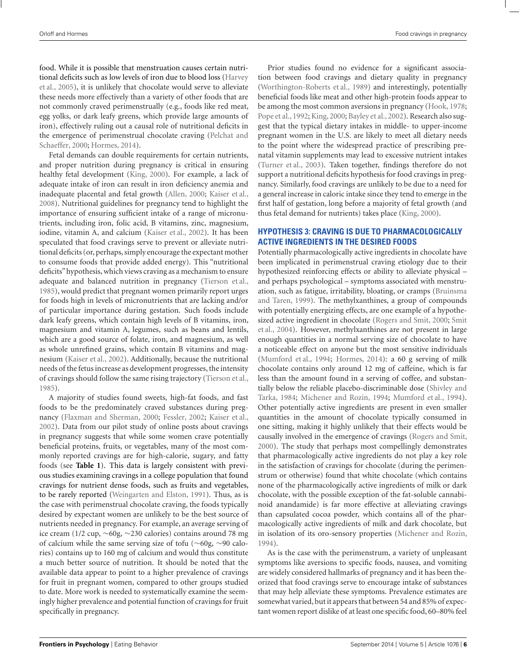food. While it is possible that menstruation causes certain nutrition[al deficits such as low levels of iron due to blood loss \(](#page-11-0)Harvey et al., [2005\)](#page-11-0), it is unlikely that chocolate would serve to alleviate these needs more effectively than a variety of other foods that are not commonly craved perimenstrually (e.g., foods like red meat, egg yolks, or dark leafy greens, which provide large amounts of iron), effectively ruling out a causal role of nutritional deficits in the emer[gence of perimenstrual chocolate craving \(](#page-13-0)Pelchat and Schaeffer, [2000](#page-13-0); [Hormes](#page-11-0), [2014](#page-11-0)).

Fetal demands can double requirements for certain nutrients, and proper nutrition during pregnancy is critical in ensuring healthy fetal development [\(King](#page-12-0), [2000\)](#page-12-0). For example, a lack of adequate intake of iron can result in iron deficiency anemia and inadequate placental and fetal growth [\(Allen](#page-10-0), [2000](#page-10-0); [Kaiser et al.,](#page-12-0) [2008\)](#page-12-0). Nutritional guidelines for pregnancy tend to highlight the importance of ensuring sufficient intake of a range of micronutrients, including iron, folic acid, B vitamins, zinc, magnesium, iodine, vitamin A, and calcium [\(Kaiser et al.](#page-12-0), [2002\)](#page-12-0). It has been speculated that food cravings serve to prevent or alleviate nutritional deficits (or, perhaps, simply encourage the expectant mother to consume foods that provide added energy). This "nutritional deficits" hypothesis, which views craving as a mechanism to ensure adequate and balanced nutrition in pregnancy [\(Tierson et al.,](#page-13-0) [1985\)](#page-13-0), would predict that pregnant women primarily report urges for foods high in levels of micronutrients that are lacking and/or of particular importance during gestation. Such foods include dark leafy greens, which contain high levels of B vitamins, iron, magnesium and vitamin A, legumes, such as beans and lentils, which are a good source of folate, iron, and magnesium, as well as whole unrefined grains, which contain B vitamins and magnesium [\(Kaiser et al.](#page-12-0), [2002](#page-12-0)). Additionally, because the nutritional needs of the fetus increase as development progresses, the intensity of cravings should follow the same rising trajectory [\(Tierson et al.,](#page-13-0) [1985\)](#page-13-0).

A majority of studies found sweets, high-fat foods, and fast foods to be the predominately craved substances during pregnancy [\(Flaxman and Sherman](#page-11-0), [2000;](#page-11-0) [Fessler, 2002](#page-11-0); [Kaiser et al.,](#page-12-0) [2002\)](#page-12-0). Data from our pilot study of online posts about cravings in pregnancy suggests that while some women crave potentially beneficial proteins, fruits, or vegetables, many of the most commonly reported cravings are for high-calorie, sugary, and fatty foods (see **[Table 1](#page-2-0)**). This data is largely consistent with previous studies examining cravings in a college population that found cravings for nutrient dense foods, such as fruits and vegetables, to be rarely reported [\(Weingarten and Elston, 1991](#page-14-0)). Thus, as is the case with perimenstrual chocolate craving, the foods typically desired by expectant women are unlikely to be the best source of nutrients needed in pregnancy. For example, an average serving of ice cream (1/2 cup, ∼60g, ∼230 calories) contains around 78 mg of calcium while the same serving size of tofu (∼60g, ∼90 calories) contains up to 160 mg of calcium and would thus constitute a much better source of nutrition. It should be noted that the available data appear to point to a higher prevalence of cravings for fruit in pregnant women, compared to other groups studied to date. More work is needed to systematically examine the seemingly higher prevalence and potential function of cravings for fruit specifically in pregnancy.

Prior studies found no evidence for a significant association between food cravings and dietary quality in pregnancy [\(Worthington-Roberts et al.](#page-14-0), [1989\)](#page-14-0) and interestingly, potentially beneficial foods like meat and other high-protein foods appear to be among the most common aversions in pregnancy [\(Hook, 1978;](#page-11-0) [Pope et al., 1992;](#page-13-0) [King, 2000](#page-12-0); [Bayley et al.](#page-10-0), [2002](#page-10-0)). Research also suggest that the typical dietary intakes in middle- to upper-income pregnant women in the U.S. are likely to meet all dietary needs to the point where the widespread practice of prescribing prenatal vitamin supplements may lead to excessive nutrient intakes [\(Turner et al., 2003\)](#page-13-0). Taken together, findings therefore do not support a nutritional deficits hypothesis for food cravings in pregnancy. Similarly, food cravings are unlikely to be due to a need for a general increase in caloric intake since they tend to emerge in the first half of gestation, long before a majority of fetal growth (and thus fetal demand for nutrients) takes place [\(King](#page-12-0), [2000\)](#page-12-0).

# **HYPOTHESIS 3: CRAVING IS DUE TO PHARMACOLOGICALLY ACTIVE INGREDIENTS IN THE DESIRED FOODS**

Potentially pharmacologically active ingredients in chocolate have been implicated in perimenstrual craving etiology due to their hypothesized reinforcing effects or ability to alleviate physical – and perhaps psychological – symptoms associated with menstruation, suc[h as fatigue, irritability, bloating, or cramps \(](#page-10-0)Bruinsma and Taren, [1999](#page-10-0)). The methylxanthines, a group of compounds with potentially energizing effects, are one example of a hypothesize[d active ingredient in chocolate \(Rogers and Smit, 2000;](#page-13-0) Smit et al., [2004](#page-13-0)). However, methylxanthines are not present in large enough quantities in a normal serving size of chocolate to have a noticeable effect on anyone but the most sensitive individuals [\(Mumford et al., 1994;](#page-12-0) [Hormes](#page-11-0), [2014](#page-11-0)): a 60 g serving of milk chocolate contains only around 12 mg of caffeine, which is far less than the amount found in a serving of coffee, and substantially [below the reliable placebo-discriminable dose \(](#page-13-0)Shivley and Tarka, [1984;](#page-13-0) [Michener and Rozin, 1994;](#page-12-0) [Mumford et al., 1994](#page-12-0)). Other potentially active ingredients are present in even smaller quantities in the amount of chocolate typically consumed in one sitting, making it highly unlikely that their effects would be causally involved in the emergence of cravings [\(Rogers and Smit,](#page-13-0) [2000](#page-13-0)). The study that perhaps most compellingly demonstrates that pharmacologically active ingredients do not play a key role in the satisfaction of cravings for chocolate (during the perimenstrum or otherwise) found that white chocolate (which contains none of the pharmacologically active ingredients of milk or dark chocolate, with the possible exception of the fat-soluble cannabinoid anandamide) is far more effective at alleviating cravings than capsulated cocoa powder, which contains all of the pharmacologically active ingredients of milk and dark chocolate, but in isolation of its oro-sensory properties [\(Michener and Rozin,](#page-12-0) [1994](#page-12-0)).

As is the case with the perimenstrum, a variety of unpleasant symptoms like aversions to specific foods, nausea, and vomiting are widely considered hallmarks of pregnancy and it has been theorized that food cravings serve to encourage intake of substances that may help alleviate these symptoms. Prevalence estimates are somewhat varied, but it appears that between 54 and 85% of expectant women report dislike of at least one specific food, 60–80% feel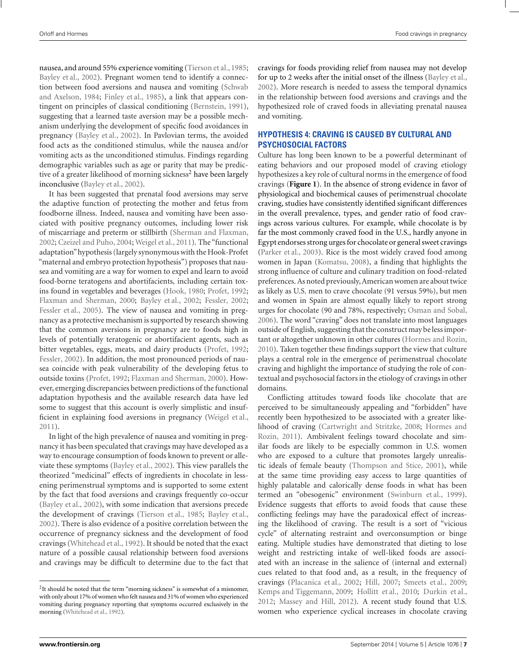nausea, and around 55% experience vomiting [\(Tierson et al.](#page-13-0), [1985;](#page-13-0) [Bayley et al.](#page-10-0), [2002](#page-10-0)). Pregnant women tend to identify a connection betwee[n food aversions and nausea and vomiting \(](#page-13-0)Schwab and Axelson, [1984](#page-13-0); [Finley et al., 1985](#page-11-0)), a link that appears contingent on principles of classical conditioning [\(Bernstein](#page-10-0), [1991](#page-10-0)), suggesting that a learned taste aversion may be a possible mechanism underlying the development of specific food avoidances in pregnancy [\(Bayley et al.](#page-10-0), [2002\)](#page-10-0). In Pavlovian terms, the avoided food acts as the conditioned stimulus, while the nausea and/or vomiting acts as the unconditioned stimulus. Findings regarding demographic variables such as age or parity that may be predictive of a greater likelihood of morning sickness<sup>2</sup> have been largely inconclusive [\(Bayley et al., 2002](#page-10-0)).

It has been suggested that prenatal food aversions may serve the adaptive function of protecting the mother and fetus from foodborne illness. Indeed, nausea and vomiting have been associated with positive pregnancy outcomes, including lower risk of miscarriage and preterm or stillbirth [\(Sherman and Flaxman,](#page-13-0) [2002;](#page-13-0) [Czeizel and Puho, 2004;](#page-11-0) [Weigel et al., 2011](#page-14-0)). The "functional adaptation"hypothesis (largely synonymous with the Hook-Profet "maternal and embryo protection hypothesis") proposes that nausea and vomiting are a way for women to expel and learn to avoid food-borne teratogens and abortifacients, including certain toxins found in vegetables and beverages [\(Hook](#page-11-0), [1980](#page-11-0); [Profet](#page-13-0), [1992;](#page-13-0) [Flaxman and Sherman](#page-11-0), [2000](#page-11-0); [Bayley et al.](#page-10-0), [2002](#page-10-0); [Fessler, 2002;](#page-11-0) [Fessler et al.](#page-11-0), [2005](#page-11-0)). The view of nausea and vomiting in pregnancy as a protective mechanism is supported by research showing that the common aversions in pregnancy are to foods high in levels of potentially teratogenic or abortifacient agents, such as bitter vegetables, eggs, meats, and dairy products [\(Profet](#page-13-0), [1992;](#page-13-0) [Fessler, 2002](#page-11-0)). In addition, the most pronounced periods of nausea coincide with peak vulnerability of the developing fetus to outside toxins [\(Profet](#page-13-0), [1992](#page-13-0); [Flaxman and Sherman, 2000](#page-11-0)). However, emerging discrepancies between predictions of the functional adaptation hypothesis and the available research data have led some to suggest that this account is overly simplistic and insufficient in explaining food aversions in pregnancy [\(Weigel et al.](#page-14-0), [2011\)](#page-14-0).

In light of the high prevalence of nausea and vomiting in pregnancy it has been speculated that cravings may have developed as a way to encourage consumption of foods known to prevent or alleviate these symptoms [\(Bayley et al., 2002](#page-10-0)). This view parallels the theorized "medicinal" effects of ingredients in chocolate in lessening perimenstrual symptoms and is supported to some extent by the fact that food aversions and cravings frequently co-occur [\(Bayley et al.](#page-10-0), [2002\)](#page-10-0), with some indication that aversions precede the development of cravings [\(Tierson et al.](#page-13-0), [1985;](#page-13-0) [Bayley et al.,](#page-10-0) [2002\)](#page-10-0). There is also evidence of a positive correlation between the occurrence of pregnancy sickness and the development of food cravings [\(Whitehead et al.](#page-14-0), [1992](#page-14-0)). It should be noted that the exact nature of a possible causal relationship between food aversions and cravings may be difficult to determine due to the fact that cravings for foods providing relief from nausea may not develop for up to 2 weeks after the initial onset of the illness [\(Bayley et al.,](#page-10-0) [2002](#page-10-0)). More research is needed to assess the temporal dynamics in the relationship between food aversions and cravings and the hypothesized role of craved foods in alleviating prenatal nausea and vomiting.

# **HYPOTHESIS 4: CRAVING IS CAUSED BY CULTURAL AND PSYCHOSOCIAL FACTORS**

Culture has long been known to be a powerful determinant of eating behaviors and our proposed model of craving etiology hypothesizes a key role of cultural norms in the emergence of food cravings (**[Figure 1](#page-4-0)**). In the absence of strong evidence in favor of physiological and biochemical causes of perimenstrual chocolate craving, studies have consistently identified significant differences in the overall prevalence, types, and gender ratio of food cravings across various cultures. For example, while chocolate is by far the most commonly craved food in the U.S., hardly anyone in Egypt endorses strong urges for chocolate or general sweet cravings [\(Parker et al.](#page-12-0), [2003\)](#page-12-0). Rice is the most widely craved food among women in Japan [\(Komatsu, 2008](#page-12-0)), a finding that highlights the strong influence of culture and culinary tradition on food-related preferences. As noted previously,American women are about twice as likely as U.S. men to crave chocolate (91 versus 59%), but men and women in Spain are almost equally likely to report strong urges for chocolate (90 and 78%, respectively; [Osman and Sobal,](#page-12-0) [2006](#page-12-0)). The word "craving" does not translate into most languages outside of English, suggesting that the construct may be less important or altogether unknown in other cultures [\(Hormes and Rozin,](#page-11-0) [2010](#page-11-0)). Taken together these findings support the view that culture plays a central role in the emergence of perimenstrual chocolate craving and highlight the importance of studying the role of contextual and psychosocial factors in the etiology of cravings in other domains.

Conflicting attitudes toward foods like chocolate that are perceived to be simultaneously appealing and "forbidden" have recently been hypothesized to be associated with a greater likelihoo[d of craving](#page-11-0) [\(Cartwright and Stritzke](#page-10-0)[,](#page-11-0) [2008](#page-10-0)[;](#page-11-0) Hormes and Rozin, [2011](#page-11-0)). Ambivalent feelings toward chocolate and similar foods are likely to be especially common in U.S. women who are exposed to a culture that promotes largely unrealistic ideals of female beauty [\(Thompson and Stice, 2001\)](#page-13-0), while at the same time providing easy access to large quantities of highly palatable and calorically dense foods in what has been termed an "obesogenic" environment [\(Swinburn et al.](#page-13-0), [1999](#page-13-0)). Evidence suggests that efforts to avoid foods that cause these conflicting feelings may have the paradoxical effect of increasing the likelihood of craving. The result is a sort of "vicious cycle" of alternating restraint and overconsumption or binge eating. Multiple studies have demonstrated that dieting to lose weight and restricting intake of well-liked foods are associated with an increase in the salience of (internal and external) cues related to that food and, as a result, in the frequency of cravings [\(Placanica et al.](#page-13-0), [2002](#page-13-0); [Hill, 2007;](#page-11-0) [Smeets et al., 2009;](#page-13-0) [Kemps and Tiggemann, 2009](#page-12-0); [Hollitt et al., 2010](#page-11-0); [Durkin et al.,](#page-11-0) [2012](#page-11-0); [Massey and Hill](#page-12-0), [2012\)](#page-12-0). A recent study found that U.S. women who experience cyclical increases in chocolate craving

<sup>&</sup>lt;sup>2</sup>It should be noted that the term "morning sickness" is somewhat of a misnomer, with only about 17% of women who felt nausea and 31% of women who experienced vomiting during pregnancy reporting that symptoms occurred exclusively in the morning [\(Whitehead et al., 1992\)](#page-14-0).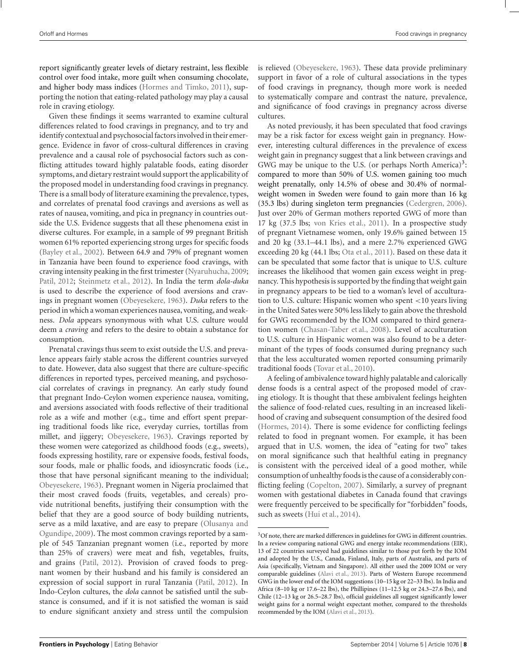report significantly greater levels of dietary restraint, less flexible control over food intake, more guilt when consuming chocolate, and higher body mass indices [\(Hormes and Timko, 2011](#page-11-0)), supporting the notion that eating-related pathology may play a causal role in craving etiology.

Given these findings it seems warranted to examine cultural differences related to food cravings in pregnancy, and to try and identify contextual and psychosocial factors involved in their emergence. Evidence in favor of cross-cultural differences in craving prevalence and a causal role of psychosocial factors such as conflicting attitudes toward highly palatable foods, eating disorder symptoms, and dietary restraint would support the applicability of the proposed model in understanding food cravings in pregnancy. There is a small body of literature examining the prevalence, types, and correlates of prenatal food cravings and aversions as well as rates of nausea, vomiting, and pica in pregnancy in countries outside the U.S. Evidence suggests that all these phenomena exist in diverse cultures. For example, in a sample of 99 pregnant British women 61% reported experiencing strong urges for specific foods [\(Bayley et al.](#page-10-0), [2002](#page-10-0)). Between 64.9 and 79% of pregnant women in Tanzania have been found to experience food cravings, with craving intensity peaking in the first trimester [\(Nyaruhucha, 2009;](#page-12-0) [Patil](#page-12-0), [2012;](#page-12-0) [Steinmetz et al., 2012](#page-13-0)). In India the term *dola-duka* is used to describe the experience of food aversions and cravings in pregnant women [\(Obeyesekere, 1963\)](#page-12-0). *Duka* refers to the period in which a woman experiences nausea, vomiting, and weakness. *Dola* appears synonymous with what U.S. culture would deem a *craving* and refers to the desire to obtain a substance for consumption.

Prenatal cravings thus seem to exist outside the U.S. and prevalence appears fairly stable across the different countries surveyed to date. However, data also suggest that there are culture-specific differences in reported types, perceived meaning, and psychosocial correlates of cravings in pregnancy. An early study found that pregnant Indo-Ceylon women experience nausea, vomiting, and aversions associated with foods reflective of their traditional role as a wife and mother (e.g., time and effort spent preparing traditional foods like rice, everyday curries, tortillas from millet, and jiggery; [Obeyesekere](#page-12-0), [1963\)](#page-12-0). Cravings reported by these women were categorized as childhood foods (e.g., sweets), foods expressing hostility, rare or expensive foods, festival foods, sour foods, male or phallic foods, and idiosyncratic foods (i.e., those that have personal significant meaning to the individual; [Obeyesekere, 1963](#page-12-0)). Pregnant women in Nigeria proclaimed that their most craved foods (fruits, vegetables, and cereals) provide nutritional benefits, justifying their consumption with the belief that they are a good source of body building nutrients, serve as a [mild laxative, and are easy to prepare \(](#page-12-0)Olusanya and Ogundipe, [2009\)](#page-12-0). The most common cravings reported by a sample of 545 Tanzanian pregnant women (i.e., reported by more than 25% of cravers) were meat and fish, vegetables, fruits, and grains [\(Patil, 2012](#page-12-0)). Provision of craved foods to pregnant women by their husband and his family is considered an expression of social support in rural Tanzania [\(Patil, 2012\)](#page-12-0). In Indo-Ceylon cultures, the *dola* cannot be satisfied until the substance is consumed, and if it is not satisfied the woman is said to endure significant anxiety and stress until the compulsion is relieved [\(Obeyesekere, 1963](#page-12-0)). These data provide preliminary support in favor of a role of cultural associations in the types of food cravings in pregnancy, though more work is needed to systematically compare and contrast the nature, prevalence, and significance of food cravings in pregnancy across diverse cultures.

As noted previously, it has been speculated that food cravings may be a risk factor for excess weight gain in pregnancy. However, interesting cultural differences in the prevalence of excess weight gain in pregnancy suggest that a link between cravings and GWG may be unique to the U.S. (or perhaps North America)<sup>3</sup>: compared to more than 50% of U.S. women gaining too much weight prenatally, only 14.5% of obese and 30.4% of normalweight women in Sweden were found to gain more than 16 kg (35.3 lbs) during singleton term pregnancies [\(Cedergren](#page-10-0), [2006](#page-10-0)). Just over 20% of German mothers reported GWG of more than 17 kg (37.5 lbs; [von Kries et al.](#page-13-0), [2011](#page-13-0)). In a prospective study of pregnant Vietnamese women, only 19.6% gained between 15 and 20 kg (33.1–44.1 lbs), and a mere 2.7% experienced GWG exceeding 20 kg (44.1 lbs; [Ota et al.](#page-12-0), [2011](#page-12-0)). Based on these data it can be speculated that some factor that is unique to U.S. culture increases the likelihood that women gain excess weight in pregnancy. This hypothesis is supported by the finding that weight gain in pregnancy appears to be tied to a woman's level of acculturation to U.S. culture: Hispanic women who spent <10 years living in the United Sates were 50% less likely to gain above the threshold for GWG recommended by the IOM compared to third generation women [\(Chasan-Taber et al.](#page-10-0), [2008\)](#page-10-0). Level of acculturation to U.S. culture in Hispanic women was also found to be a determinant of the types of foods consumed during pregnancy such that the less acculturated women reported consuming primarily traditional foods [\(Tovar et al.](#page-13-0), [2010](#page-13-0)).

A feeling of ambivalence toward highly palatable and calorically dense foods is a central aspect of the proposed model of craving etiology. It is thought that these ambivalent feelings heighten the salience of food-related cues, resulting in an increased likelihood of craving and subsequent consumption of the desired food [\(Hormes](#page-11-0), [2014\)](#page-11-0). There is some evidence for conflicting feelings related to food in pregnant women. For example, it has been argued that in U.S. women, the idea of "eating for two" takes on moral significance such that healthful eating in pregnancy is consistent with the perceived ideal of a good mother, while consumption of unhealthy foods is the cause of a considerably conflicting feeling [\(Copelton, 2007\)](#page-11-0). Similarly, a survey of pregnant women with gestational diabetes in Canada found that cravings were frequently perceived to be specifically for "forbidden" foods, such as sweets [\(Hui et al.](#page-12-0), [2014\)](#page-12-0).

<sup>&</sup>lt;sup>3</sup>Of note, there are marked differences in guidelines for GWG in different countries. In a review comparing national GWG and energy intake recommendations (EIR), 13 of 22 countries surveyed had guidelines similar to those put forth by the IOM and adopted by the U.S., Canada, Finland, Italy, parts of Australia, and parts of Asia (specifically, Vietnam and Singapore). All either used the 2009 IOM or very comparable guidelines [\(Alavi et al., 2013\)](#page-10-0). Parts of Western Europe recommend GWG in the lower end of the IOM suggestions (10–15 kg or 22–33 lbs). In India and Africa (8–10 kg or 17.6–22 lbs), the Phillipines (11–12.5 kg or 24.3–27.6 lbs), and Chile (12–13 kg or 26.5–28.7 lbs), official guidelines all suggest significantly lower weight gains for a normal weight expectant mother, compared to the thresholds recommended by the IOM [\(Alavi et al., 2013\)](#page-10-0).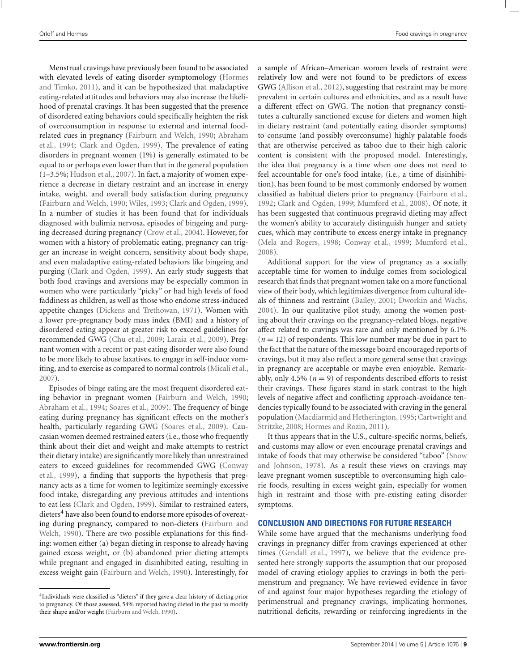Menstrual cravings have previously been found to be associated with elevat[ed levels of eating disorder symptomology \(](#page-11-0)Hormes and Timko, [2011](#page-11-0)), and it can be hypothesized that maladaptive eating-related attitudes and behaviors may also increase the likelihood of prenatal cravings. It has been suggested that the presence of disordered eating behaviors could specifically heighten the risk of overconsumption in response to external and internal foodrelat[ed cues in pregnancy](#page-10-0) [\(Fairburn and Welch](#page-11-0)[,](#page-10-0) [1990](#page-11-0)[;](#page-10-0) Abraham et al., [1994](#page-10-0); [Clark and Ogden](#page-11-0), [1999\)](#page-11-0). The prevalence of eating disorders in pregnant women (1%) is generally estimated to be equal to or perhaps even lower than that in the general population (1–3.5%; [Hudson et al., 2007\)](#page-12-0). In fact, a majority of women experience a decrease in dietary restraint and an increase in energy intake, weight, and overall body satisfaction during pregnancy [\(Fairburn and Welch](#page-11-0), [1990;](#page-11-0) [Wiles, 1993](#page-14-0); [Clark and Ogden, 1999](#page-11-0)). In a number of studies it has been found that for individuals diagnosed with bulimia nervosa, episodes of bingeing and purging decreased during pregnancy [\(Crow et al.](#page-11-0), [2004\)](#page-11-0). However, for women with a history of problematic eating, pregnancy can trigger an increase in weight concern, sensitivity about body shape, and even maladaptive eating-related behaviors like bingeing and purging [\(Clark and Ogden, 1999](#page-11-0)). An early study suggests that both food cravings and aversions may be especially common in women who were particularly "picky" or had high levels of food faddiness as children, as well as those who endorse stress-induced appetite changes [\(Dickens and Trethowan](#page-11-0), [1971\)](#page-11-0). Women with a lower pre-pregnancy body mass index (BMI) and a history of disordered eating appear at greater risk to exceed guidelines for recommended GWG [\(Chu et al.](#page-10-0), [2009;](#page-10-0) [Laraia et al., 2009\)](#page-12-0). Pregnant women with a recent or past eating disorder were also found to be more likely to abuse laxatives, to engage in self-induce vomiting, and to exercise as compared to normal controls [\(Micali et al.,](#page-12-0) [2007\)](#page-12-0).

Episodes of binge eating are the most frequent disordered eating behavior in pregnant women [\(Fairburn and Welch](#page-11-0), [1990;](#page-11-0) [Abraham et al.](#page-10-0), [1994](#page-10-0); [Soares et al.](#page-13-0), [2009\)](#page-13-0). The frequency of binge eating during pregnancy has significant effects on the mother's health, particularly regarding GWG [\(Soares et al.](#page-13-0), [2009](#page-13-0)). Caucasian women deemed restrained eaters (i.e., those who frequently think about their diet and weight and make attempts to restrict their dietary intake) are significantly more likely than unrestrained eate[rs](#page-11-0) [to](#page-11-0) [exceed](#page-11-0) [guidelines](#page-11-0) [for](#page-11-0) [recommended](#page-11-0) [GWG](#page-11-0) [\(](#page-11-0)Conway et al., [1999\)](#page-11-0), a finding that supports the hypothesis that pregnancy acts as a time for women to legitimize seemingly excessive food intake, disregarding any previous attitudes and intentions to eat less [\(Clark and Ogden](#page-11-0), [1999](#page-11-0)). Similar to restrained eaters, dieters<sup>4</sup> have also been found to endorse more episodes of overeating d[uring pregnancy, compared to non-dieters \(](#page-11-0)Fairburn and Welch, [1990\)](#page-11-0). There are two possible explanations for this finding: women either (a) began dieting in response to already having gained excess weight, or (b) abandoned prior dieting attempts while pregnant and engaged in disinhibited eating, resulting in excess weight gain [\(Fairburn and Welch, 1990](#page-11-0)). Interestingly, for a sample of African–American women levels of restraint were relatively low and were not found to be predictors of excess GWG [\(Allison et al., 2012](#page-10-0)), suggesting that restraint may be more prevalent in certain cultures and ethnicities, and as a result have a different effect on GWG. The notion that pregnancy constitutes a culturally sanctioned excuse for dieters and women high in dietary restraint (and potentially eating disorder symptoms) to consume (and possibly overconsume) highly palatable foods that are otherwise perceived as taboo due to their high caloric content is consistent with the proposed model. Interestingly, the idea that pregnancy is a time when one does not need to feel accountable for one's food intake, (i.e., a time of disinhibition), has been found to be most commonly endorsed by women classified as habitual dieters prior to pregnancy [\(Fairburn et al.,](#page-11-0) [1992](#page-11-0); [Clark and Ogden, 1999;](#page-11-0) [Mumford et al., 2008\)](#page-12-0). Of note, it has been suggested that continuous pregravid dieting may affect the women's ability to accurately distinguish hunger and satiety cues, which may contribute to excess energy intake in pregnancy [\(Mela and Rogers, 1998](#page-12-0); [Conway et al., 1999](#page-11-0); [Mumford et al.,](#page-12-0) [2008](#page-12-0)).

Additional support for the view of pregnancy as a socially acceptable time for women to indulge comes from sociological research that finds that pregnant women take on a more functional view of their body, which legitimizes divergence from cultural ideals of thinness and restraint [\(Bailey](#page-10-0), [2001;](#page-10-0) [Dworkin and Wachs,](#page-11-0) [2004](#page-11-0)). In our qualitative pilot study, among the women posting about their cravings on the pregnancy-related blogs, negative affect related to cravings was rare and only mentioned by 6.1%  $(n = 12)$  of respondents. This low number may be due in part to the fact that the nature of the message board encouraged reports of cravings, but it may also reflect a more general sense that cravings in pregnancy are acceptable or maybe even enjoyable. Remarkably, only 4.5% ( $n = 9$ ) of respondents described efforts to resist their cravings. These figures stand in stark contrast to the high levels of negative affect and conflicting approach-avoidance tendencies typically found to be associated with craving in the general popula[tion](#page-10-0) [\(Macdiarmid and Hetherington](#page-12-0)[,](#page-10-0) [1995](#page-12-0)[;](#page-10-0) Cartwright and Stritzke, [2008](#page-10-0); [Hormes and Rozin](#page-11-0), [2011\)](#page-11-0).

It thus appears that in the U.S., culture-specific norms, beliefs, and customs may allow or even encourage prenatal cravings and intake of foo[ds that may otherwise be considered "taboo" \(](#page-13-0)Snow and Johnson, [1978\)](#page-13-0). As a result these views on cravings may leave pregnant women susceptible to overconsuming high calorie foods, resulting in excess weight gain, especially for women high in restraint and those with pre-existing eating disorder symptoms.

## **CONCLUSION AND DIRECTIONS FOR FUTURE RESEARCH**

While some have argued that the mechanisms underlying food cravings in pregnancy differ from cravings experienced at other times [\(Gendall et al., 1997\)](#page-11-0), we believe that the evidence presented here strongly supports the assumption that our proposed model of craving etiology applies to cravings in both the perimenstrum and pregnancy. We have reviewed evidence in favor of and against four major hypotheses regarding the etiology of perimenstrual and pregnancy cravings, implicating hormones, nutritional deficits, rewarding or reinforcing ingredients in the

<sup>4</sup>Individuals were classified as "dieters" if they gave a clear history of dieting prior to pregnancy. Of those assessed, 54% reported having dieted in the past to modify their shape and/or weight [\(Fairburn and Welch, 1990\)](#page-11-0).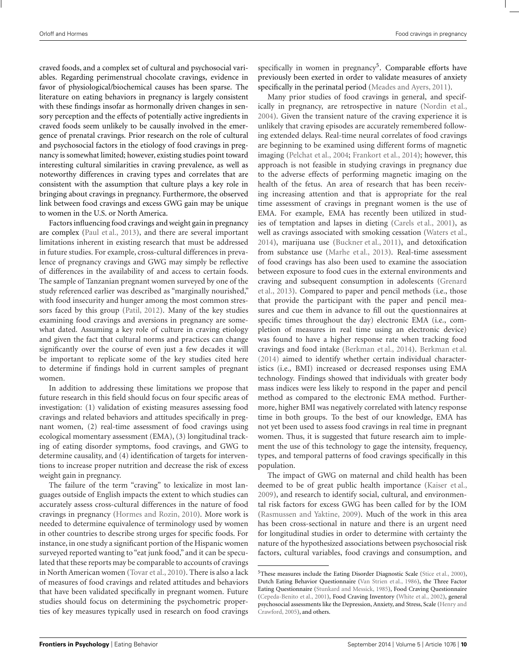craved foods, and a complex set of cultural and psychosocial variables. Regarding perimenstrual chocolate cravings, evidence in favor of physiological/biochemical causes has been sparse. The literature on eating behaviors in pregnancy is largely consistent with these findings insofar as hormonally driven changes in sensory perception and the effects of potentially active ingredients in craved foods seem unlikely to be causally involved in the emergence of prenatal cravings. Prior research on the role of cultural and psychosocial factors in the etiology of food cravings in pregnancy is somewhat limited; however, existing studies point toward interesting cultural similarities in craving prevalence, as well as noteworthy differences in craving types and correlates that are consistent with the assumption that culture plays a key role in bringing about cravings in pregnancy. Furthermore, the observed link between food cravings and excess GWG gain may be unique to women in the U.S. or North America.

Factors influencing food cravings and weight gain in pregnancy are complex [\(Paul et al.](#page-13-0), [2013\)](#page-13-0), and there are several important limitations inherent in existing research that must be addressed in future studies. For example, cross-cultural differences in prevalence of pregnancy cravings and GWG may simply be reflective of differences in the availability of and access to certain foods. The sample of Tanzanian pregnant women surveyed by one of the study referenced earlier was described as "marginally nourished," with food insecurity and hunger among the most common stressors faced by this group [\(Patil, 2012](#page-12-0)). Many of the key studies examining food cravings and aversions in pregnancy are somewhat dated. Assuming a key role of culture in craving etiology and given the fact that cultural norms and practices can change significantly over the course of even just a few decades it will be important to replicate some of the key studies cited here to determine if findings hold in current samples of pregnant women.

In addition to addressing these limitations we propose that future research in this field should focus on four specific areas of investigation: (1) validation of existing measures assessing food cravings and related behaviors and attitudes specifically in pregnant women, (2) real-time assessment of food cravings using ecological momentary assessment (EMA), (3) longitudinal tracking of eating disorder symptoms, food cravings, and GWG to determine causality, and (4) identification of targets for interventions to increase proper nutrition and decrease the risk of excess weight gain in pregnancy.

The failure of the term "craving" to lexicalize in most languages outside of English impacts the extent to which studies can accurately assess cross-cultural differences in the nature of food cravings in pregnancy [\(Hormes and Rozin, 2010\)](#page-11-0). More work is needed to determine equivalence of terminology used by women in other countries to describe strong urges for specific foods. For instance, in one study a significant portion of the Hispanic women surveyed reported wanting to "eat junk food," and it can be speculated that these reports may be comparable to accounts of cravings in North American women [\(Tovar et al., 2010\)](#page-13-0). There is also a lack of measures of food cravings and related attitudes and behaviors that have been validated specifically in pregnant women. Future studies should focus on determining the psychometric properties of key measures typically used in research on food cravings specifically in women in pregnancy<sup>5</sup>. Comparable efforts have previously been exerted in order to validate measures of anxiety specifically in the perinatal period [\(Meades and Ayers, 2011](#page-12-0)).

Many prior studies of food cravings in general, and specifically in pregnancy, are retrospective in nature [\(Nordin et al.,](#page-12-0) [2004](#page-12-0)). Given the transient nature of the craving experience it is unlikely that craving episodes are accurately remembered following extended delays. Real-time neural correlates of food cravings are beginning to be examined using different forms of magnetic imaging [\(Pelchat et al.](#page-13-0), [2004](#page-13-0); [Frankort et al., 2014](#page-11-0)); however, this approach is not feasible in studying cravings in pregnancy due to the adverse effects of performing magnetic imaging on the health of the fetus. An area of research that has been receiving increasing attention and that is appropriate for the real time assessment of cravings in pregnant women is the use of EMA. For example, EMA has recently been utilized in studies of temptation and lapses in dieting [\(Carels et al.](#page-10-0), [2001](#page-10-0)), as well as cravings associated with smoking cessation [\(Waters et al.,](#page-13-0) [2014](#page-13-0)), marijuana use [\(Buckner et al.](#page-10-0), [2011\)](#page-10-0), and detoxification from substance use [\(Marhe et al., 2013](#page-12-0)). Real-time assessment of food cravings has also been used to examine the association between exposure to food cues in the external environments and crav[ing and subsequent consumption in adolescents \(](#page-11-0)Grenard et al., [2013\)](#page-11-0). Compared to paper and pencil methods (i.e., those that provide the participant with the paper and pencil measures and cue them in advance to fill out the questionnaires at specific times throughout the day) electronic EMA (i.e., completion of measures in real time using an electronic device) was found to have a higher response rate when tracking food cravings and food intake [\(Berkman et al., 2014](#page-10-0)). [Berkman et al.](#page-10-0) [\(2014\)](#page-10-0) aimed to identify whether certain individual characteristics (i.e., BMI) increased or decreased responses using EMA technology. Findings showed that individuals with greater body mass indices were less likely to respond in the paper and pencil method as compared to the electronic EMA method. Furthermore, higher BMI was negatively correlated with latency response time in both groups. To the best of our knowledge, EMA has not yet been used to assess food cravings in real time in pregnant women. Thus, it is suggested that future research aim to implement the use of this technology to gage the intensity, frequency, types, and temporal patterns of food cravings specifically in this population.

The impact of GWG on maternal and child health has been deemed to be of great public health importance [\(Kaiser et al.,](#page-12-0) [2009](#page-12-0)), and research to identify social, cultural, and environmental risk factors for excess GWG has been called for by the IOM [\(Rasmussen and Yaktine, 2009](#page-13-0)). Much of the work in this area has been cross-sectional in nature and there is an urgent need for longitudinal studies in order to determine with certainty the nature of the hypothesized associations between psychosocial risk factors, cultural variables, food cravings and consumption, and

<sup>5</sup>These measures include the Eating Disorder Diagnostic Scale [\(Stice et al.](#page-13-0), [2000\)](#page-13-0), Dutch Eating Behavior Questionnaire [\(Van Strien et al., 1986](#page-13-0)), the Three Factor Eating Questionnaire [\(Stunkard and Messick, 1985](#page-13-0)), Food Craving Questionnaire [\(Cepeda-Benito et al., 2001\)](#page-10-0), Food Craving Inventory [\(White et al.](#page-14-0), [2002](#page-14-0)), general psychoso[cial](#page-11-0) [assessments](#page-11-0) [like](#page-11-0) [the](#page-11-0) [Depression,](#page-11-0) [Anxiety,](#page-11-0) [and](#page-11-0) [Stress,](#page-11-0) [Scale](#page-11-0) [\(](#page-11-0)Henry and Crawford, [2005](#page-11-0)), and others.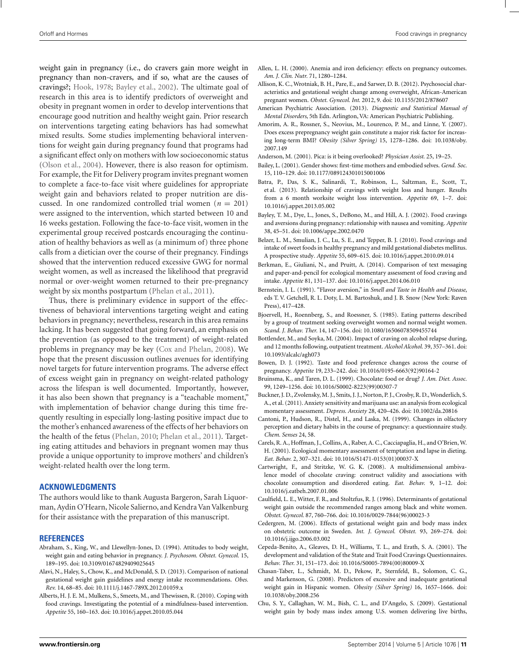<span id="page-10-0"></span>Orloff and Hormes Food cravings in pregnancy

weight gain in pregnancy (i.e., do cravers gain more weight in pregnancy than non-cravers, and if so, what are the causes of cravings?; [Hook](#page-11-0), [1978](#page-11-0); Bayley et al., 2002). The ultimate goal of research in this area is to identify predictors of overweight and obesity in pregnant women in order to develop interventions that encourage good nutrition and healthy weight gain. Prior research on interventions targeting eating behaviors has had somewhat mixed results. Some studies implementing behavioral interventions for weight gain during pregnancy found that programs had a significant effect only on mothers with low socioeconomic status [\(Olson et al., 2004\)](#page-12-0). However, there is also reason for optimism. For example, the Fit for Delivery program invites pregnant women to complete a face-to-face visit where guidelines for appropriate weight gain and behaviors related to proper nutrition are discussed. In one randomized controlled trial women ( $n = 201$ ) were assigned to the intervention, which started between 10 and 16 weeks gestation. Following the face-to-face visit, women in the experimental group received postcards encouraging the continuation of healthy behaviors as well as (a minimum of) three phone calls from a dietician over the course of their pregnancy. Findings showed that the intervention reduced excessive GWG for normal weight women, as well as increased the likelihood that pregravid normal or over-weight women returned to their pre-pregnancy weight by six months postpartum [\(Phelan et al., 2011](#page-13-0)).

Thus, there is preliminary evidence in support of the effectiveness of behavioral interventions targeting weight and eating behaviors in pregnancy; nevertheless, research in this area remains lacking. It has been suggested that going forward, an emphasis on the prevention (as opposed to the treatment) of weight-related problems in pregnancy may be key [\(Cox and Phelan](#page-11-0), [2008](#page-11-0)). We hope that the present discussion outlines avenues for identifying novel targets for future intervention programs. The adverse effect of excess weight gain in pregnancy on weight-related pathology across the lifespan is well documented. Importantly, however, it has also been shown that pregnancy is a "teachable moment," with implementation of behavior change during this time frequently resulting in especially long-lasting positive impact due to the mother's enhanced awareness of the effects of her behaviors on the health of the fetus [\(Phelan, 2010](#page-13-0); [Phelan et al., 2011\)](#page-13-0). Targeting eating attitudes and behaviors in pregnant women may thus provide a unique opportunity to improve mothers' and children's weight-related health over the long term.

### **ACKNOWLEDGMENTS**

The authors would like to thank Augusta Bargeron, Sarah Liquorman, Aydin O'Hearn, Nicole Salierno, and Kendra Van Valkenburg for their assistance with the preparation of this manuscript.

#### **REFERENCES**

- Abraham, S., King, W., and Llewellyn-Jones, D. (1994). Attitudes to body weight, weight gain and eating behavior in pregnancy. *J. Psychosom. Obstet. Gynecol.* 15, 189–195. doi: 10.3109/01674829409025645
- Alavi, N., Haley, S., Chow, K., and McDonald, S. D. (2013). Comparison of national gestational weight gain guidelines and energy intake recommendations. *Obes. Rev.* 14, 68–85. doi: 10.1111/j.1467-789X.2012.01059.x
- Alberts, H. J. E. M., Mulkens, S., Smeets, M., and Thewissen, R. (2010). Coping with food cravings. Investigating the potential of a mindfulness-based intervention. *Appetite* 55, 160–163. doi: 10.1016/j.appet.2010.05.044
- Allen, L. H. (2000). Anemia and iron deficiency: effects on pregnancy outcomes. *Am. J. Clin. Nutr.* 71, 1280–1284.
- Allison, K. C., Wrotniak, B. H., Pare, E., and Sarwer, D. B. (2012). Psychosocial characteristics and gestational weight change among overweight, African-American pregnant women. *Obstet. Gynecol. Int.* 2012, 9. doi: 10.1155/2012/878607
- American Psychiatric Association. (2013). *Diagnostic and Statistical Manual of Mental Disorders*, 5th Edn. Arlington, VA: American Psychiatric Publishing.
- Amorim, A. R., Rossner, S., Neovius, M., Lourenco, P. M., and Linne, Y. (2007). Does excess prepregnancy weight gain constitute a major risk factor for increasing long-term BMI? *Obesity (Silver Spring)* 15, 1278–1286. doi: 10.1038/oby. 2007.149
- Anderson, M. (2001). Pica: is it being overlooked? *Physician Assist.* 25, 19–25.
- Bailey, L. (2001). Gender shows: first-time mothers and embodied selves. *Gend. Soc.* 15, 110–129. doi: 10.1177/089124301015001006
- Batra, P., Das, S. K., Salinardi, T., Robinson, L., Saltzman, E., Scott, T., et al. (2013). Relationship of cravings with weight loss and hunger. Results from a 6 month worksite weight loss intervention. *Appetite* 69, 1–7. doi: 10.1016/j.appet.2013.05.002
- Bayley, T. M., Dye, L., Jones, S., DeBono, M., and Hill, A. J. (2002). Food cravings and aversions during pregnancy: relationship with nausea and vomiting. *Appetite* 38, 45–51. doi: 10.1006/appe.2002.0470
- Belzer, L. M., Smulian, J. C., Lu, S. E., and Tepper, B. J. (2010). Food cravings and intake of sweet foods in healthy pregnancy and mild gestational diabetes mellitus. A prospective study*. Appetite* 55, 609–615. doi: 10.1016/j.appet.2010.09.014
- Berkman, E., Giuliani, N., and Pruitt, A. (2014). Comparison of text messaging and paper-and-pencil for ecological momentary assessment of food craving and intake. *Appetite* 81, 131–137. doi: 10.1016/j.appet.2014.06.010
- Bernstein, I. L. (1991). "Flavor aversion," in *Smell and Taste in Health and Disease*, eds T. V. Getchell, R. L. Doty, L. M. Bartoshuk, and J. B. Snow (New York: Raven Press), 417–428.
- Bjoervell, H., Roennberg, S., and Roessner, S. (1985). Eating patterns described by a group of treatment seeking overweight women and normal weight women. *Scand. J. Behav. Ther.* 14, 147–156. doi: 10.1080/16506078509455744
- Bottlender, M., and Soyka, M. (2004). Impact of craving on alcohol relapse during, and 12 months following, outpatient treatment. *Alcohol Alcohol.* 39, 357–361. doi: 10.1093/alcalc/agh073
- Bowen, D. J. (1992). Taste and food preference changes across the course of pregnancy. *Appetite* 19, 233–242. doi: 10.1016/0195-6663(92)90164-2
- Bruinsma, K., and Taren, D. L. (1999). Chocolate: food or drug? *J. Am. Diet. Assoc.* 99, 1249–1256. doi: 10.1016/S0002-8223(99)00307-7
- Buckner, J. D., Zvolensky, M. J., Smits, J. J., Norton, P. J., Crosby, R. D.,Wonderlich, S. A., et al. (2011). Anxiety sensitivity and marijuana use: an analysis from ecological momentary assessment. *Depress. Anxiety* 28, 420–426. doi: 10.1002/da.20816
- Cantoni, P., Hudson, R., Distel, H., and Laska, M. (1999). Changes in olfactory perception and dietary habits in the course of pregnancy: a questionnaire study. *Chem. Senses* 24, 58.
- Carels, R. A., Hoffman, J., Collins, A., Raber, A. C., Cacciapaglia, H., and O'Brien,W. H. (2001). Ecological momentary assessment of temptation and lapse in dieting. *Eat. Behav.* 2, 307–321. doi: 10.1016/S1471-0153(01)00037-X
- Cartwright, F., and Stritzke, W. G. K. (2008). A multidimensional ambivalence model of chocolate craving: construct validity and associations with chocolate consumption and disordered eating. *Eat. Behav.* 9, 1–12. doi: 10.1016/j.eatbeh.2007.01.006
- Caulfield, L. E., Witter, F. R., and Stoltzfus, R. J. (1996). Determinants of gestational weight gain outside the recommended ranges among black and white women. *Obstet. Gynecol.* 87, 760–766. doi: 10.1016/0029-7844(96)00023-3
- Cedergren, M. (2006). Effects of gestational weight gain and body mass index on obstetric outcome in Sweden. *Int. J. Gynecol. Obstet.* 93, 269–274. doi: 10.1016/j.ijgo.2006.03.002
- Cepeda-Benito, A., Gleaves, D. H., Williams, T. L., and Erath, S. A. (2001). The development and validation of the State and Trait Food Cravings Questionnaires. *Behav. Ther.* 31, 151–173. doi: 10.1016/S0005-7894(00)80009-X
- Chasan-Taber, L., Schmidt, M. D., Pekow, P., Sternfeld, B., Solomon, C. G., and Markenson, G. (2008). Predictors of excessive and inadequate gestational weight gain in Hispanic women. *Obesity (Silver Spring)* 16, 1657–1666. doi: 10.1038/oby.2008.256
- Chu, S. Y., Callaghan, W. M., Bish, C. L., and D'Angelo, S. (2009). Gestational weight gain by body mass index among U.S. women delivering live births,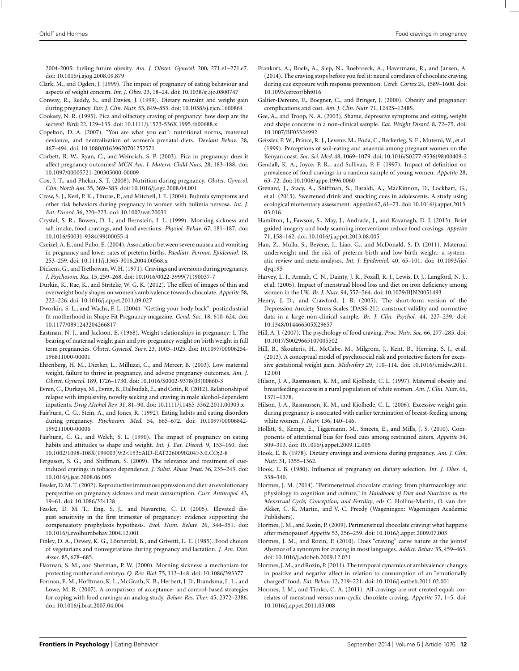<span id="page-11-0"></span>2004-2005: fueling future obesity. *Am. J. Obstet. Gynecol.* 200, 271.e1–271.e7. doi: 10.1016/j.ajog.2008.09.879

- Clark, M., and Ogden, J. (1999). The impact of pregnancy of eating behaviour and aspects of weight concern. *Int. J. Obes.* 23, 18–24. doi: 10.1038/sj.ijo.0800747
- Conway, R., Reddy, S., and Davies, J. (1999). Dietary restraint and weight gain during pregnancy. *Eur. J. Clin. Nutr.* 53, 849–853. doi: 10.1038/sj.ejcn.1600864
- Cooksey, N. R. (1995). Pica and olfactory craving of pregnancy: how deep are the secrets? *Birth* 22, 129–135. doi: 10.1111/j.1523-536X.1995.tb00688.x
- Copelton, D. A. (2007). "You are what you eat": nutritional norms, maternal deviance, and neutralization of women's prenatal diets. *Deviant Behav.* 28, 467–494. doi: 10.1080/01639620701252571
- Corbett, R. W., Ryan, C., and Weinrich, S. P. (2003). Pica in pregnancy: does it affect pregnancy outcomes? *MCN Am. J. Matern. Child Nurs.* 28, 183–188. doi: 10.1097/00005721-200305000-00009
- Cox, J. T., and Phelan, S. T. (2008). Nutrition during pregnancy. *Obstet. Gynecol. Clin. North Am.* 35, 369–383. doi: 10.1016/j.ogc.2008.04.001
- Crow, S. J., Keel, P. K., Thuras, P., and Mitchell, J. E. (2004). Bulimia symptoms and other risk behaviors during pregnancy in women with bulimia nervosa. *Int. J. Eat. Disord.* 36, 220–223. doi: 10.1002/eat.20031
- Crystal, S. R., Bowen, D. J., and Bernstein, I. L. (1999). Morning sickness and salt intake, food cravings, and food aversions. *Physiol. Behav.* 67, 181–187. doi: 10.1016/S0031-9384(99)00055-4
- Czeizel, A. E., and Puho, E. (2004). Association between severe nausea and vomiting in pregnancy and lower rates of preterm births. *Paediatr. Perinat. Epidemiol.* 18, 253–259. doi: 10.1111/j.1365-3016.2004.00568.x
- Dickens, G., and Trethowan,W. H. (1971). Cravings and aversions during pregnancy. *J. Psychosom. Res.* 15, 259–268. doi: 10.1016/0022-3999(71)90037-7
- Durkin, K., Rae, K., and Stritzke, W. G. K. (2012). The effect of images of thin and overweight body shapes on women's ambivalence towards chocolate. *Appetite* 58, 222–226. doi: 10.1016/j.appet.2011.09.027
- Dworkin, S. L., and Wachs, F. L. (2004). "Getting your body back": postindustrial fit motherhood in Shape Fit Pregnancy magazine. *Gend. Soc.* 18, 610–624. doi: 10.1177/0891243204266817
- Eastman, N. J., and Jackson, E. (1968). Weight relationships in pregnancy: I. The bearing of maternal weight gain and pre-pregnancy weight on birth weight in full term pregnancies*. Obstet. Gynecol. Surv.* 23, 1003–1025. doi: 10.1097/00006254- 196811000-00001
- Ehrenberg, H. M., Dierker, L., Milluzzi, C., and Mercer, B. (2003). Low maternal weight, failure to thrive in pregnancy, and adverse pregnancy outcomes. *Am. J. Obstet. Gynecol.* 189, 1726–1730. doi: 10.1016/S0002-9378(03)00860-3
- Evren, C., Durkaya,M., Evren, B., Dalbudak, E., and Cetin, R. (2012). Relationship of relapse with impulsivity, novelty seeking and craving in male alcohol-dependent inpatients. *Drug Alcohol Rev.* 31, 81–90. doi: 10.1111/j.1465-3362.2011.00303.x
- Fairburn, C. G., Stein, A., and Jones, R. (1992). Eating habits and eating disorders during pregnancy. *Psychosom. Med.* 54, 665–672. doi: 10.1097/00006842- 199211000-00006
- Fairburn, C. G., and Welch, S. L. (1990). The impact of pregnancy on eating habits and attitudes to shape and weight. *Int. J. Eat. Disord.* 9, 153–160. doi: 10.1002/1098-108X(199003)9:2<153::AID-EAT2260090204>3.0.CO;2-8
- Ferguson, S. G., and Shiffman, S. (2009). The relevance and treatment of cueinduced cravings in tobacco dependence. *J. Subst. Abuse Treat.* 36, 235–243. doi: 10.1016/j.jsat.2008.06.005
- Fessler, D.M. T. (2002). Reproductive immunosuppression and diet: an evolutionary perspective on pregnancy sickness and meat consumption. *Curr. Anthropol.* 43, 19–61. doi: 10.1086/324128
- Fessler, D. M. T., Eng, S. J., and Navarette, C. D. (2005). Elevated disgust sensitivity in the first trimester of pregnancy: evidence supporting the compensatory prophylaxis hypothesis. *Evol. Hum. Behav.* 26, 344–351. doi: 10.1016/j.evolhumbehav.2004.12.001
- Finley, D. A., Dewey, K. G., Lönnerdal, B., and Grivetti, L. E. (1985). Food choices of vegetarians and nonvegetarians during pregnancy and lactation. *J. Am. Diet. Assoc.* 85, 678–685.
- Flaxman, S. M., and Sherman, P. W. (2000). Morning sickness: a mechanism for protecting mother and embryo. *Q. Rev. Biol.* 75, 113–148. doi: 10.1086/393377
- Forman, E. M., Hofffman, K. L., McGrath, K. B., Herbert, J. D., Brandsma, L. L., and Lowe, M. R. (2007). A comparison of acceptance- and control-based strategies for coping with food cravings: an analog study. *Behav. Res. Ther.* 45, 2372–2386. doi: 10.1016/j.brat.2007.04.004
- Frankort, A., Roefs, A., Siep, N., Roebroeck, A., Havermans, R., and Jansen, A. (2014). The craving stops before you feel it: neural correlates of chocolate craving during cue exposure with response prevention. *Cereb. Cortex* 24, 1589–1600. doi: 10.1093/cercor/bht016
- Galtier-Dereure, F., Boegner, C., and Bringer, J. (2000). Obesity and pregnancy: complications and cost. *Am. J. Clin. Nutr.* 71, 1242S–1248S.
- Gee, A., and Troop, N. A. (2003). Shame, depressive symptoms and eating, weight and shape concerns in a non-clinical sample. *Eat. Weight Disord.* 8, 72–75. doi: 10.1007/BF03324992
- Geissler, P. W., Prince, R. J., Levene, M., Poda, C., Beckerleg, S. E., Mutemi, W., et al. (1999). Perceptions of soil-eating and anaemia among pregnant women on the Kenyan coast. *Soc. Sci. Med.* 48, 1069–1079. doi: 10.1016/S0277-9536(98)00409-2
- Gendall, K. A., Joyce, P. R., and Sullivan, P. F. (1997). Impact of definition on prevalence of food cravings in a random sample of young women. *Appetite* 28, 63–72. doi: 10.1006/appe.1996.0060
- Grenard, J., Stacy, A., Shiffman, S., Baraldi, A., MacKinnon, D., Lockhart, G., et al. (2013). Sweetened drink and snacking cues in adolescents. A study using ecological momentary assessment*. Appetite* 67, 61–73. doi: 10.1016/j.appet.2013. 03.016
- Hamilton, J., Fawson, S., May, J., Andrade, J., and Kavanagh, D. J. (2013). Brief guided imagery and body scanning interventions reduce food cravings. *Appetite* 71, 158–162. doi: 10.1016/j.appet.2013.08.005
- Han, Z., Mulla, S., Beyene, J., Liao, G., and McDonald, S. D. (2011). Maternal underweight and the risk of preterm birth and low birth weight: a systematic review and meta-analyses. *Int. J. Epidemiol.* 40, 65–101. doi: 10.1093/ije/ dyq195
- Harvey, L. J., Armah, C. N., Dainty, J. R., Foxall, R. J., Lewis, D. J., Langford, N. J., et al. (2005). Impact of menstrual blood loss and diet on iron deficiency among women in the UK. *Br. J. Nutr.* 94, 557–564. doi: 10.1079/BJN20051493
- Henry, J. D., and Crawford, J. R. (2005). The short-form version of the Depression Anxiety Stress Scales (DASS-21): construct validity and normative data in a large non-clinical sample. *Br. J. Clin. Psychol.* 44, 227–239. doi: 10.1348/014466505X29657
- Hill, A. J. (2007). The psychology of food craving. *Proc. Nutr. Soc.* 66, 277–285. doi: 10.1017/S0029665107005502
- Hill, B., Skouteris, H., McCabe, M., Milgrom, J., Kent, B., Herring, S. J., et al. (2013). A conceptual model of psychosocial risk and protective factors for excessive gestational weight gain. *Midwifery* 29, 110–114. doi: 10.1016/j.midw.2011. 12.001
- Hilson, J. A., Rasmussen, K. M., and Kjolhede, C. L. (1997). Maternal obesity and breastfeeding success in a rural population of white women. *Am. J. Clin. Nutr.* 66, 1371–1378.
- Hilson, J. A., Rasmussen, K. M., and Kjolhede, C. L. (2006). Excessive weight gain during pregnancy is associated with earlier termination of breast-feeding among white women. *J. Nutr.* 136, 140–146.
- Hollitt, S., Kemps, E., Tiggemann, M., Smeets, E., and Mills, J. S. (2010). Components of attentional bias for food cues among restrained eaters. *Appetite* 54, 309–313. doi: 10.1016/j.appet.2009.12.005
- Hook, E. B. (1978). Dietary cravings and aversions during pregnancy. *Am. J. Clin. Nutr.* 31, 1355–1362.
- Hook, E. B. (1980). Influence of pregnancy on dietary selection. *Int. J. Obes.* 4, 338–340.
- Hormes, J. M. (2014). "Perimenstrual chocolate craving: from pharmacology and physiology to cognition and culture," in *Handbook of Diet and Nutrition in the Menstrual Cycle, Conception, and Fertility*, eds C. Hollins-Martin, O. van den Akker, C. K. Martin, and V. C. Preedy (Wageningen: Wageningen Academic Publishers).
- Hormes, J. M., and Rozin, P. (2009). Perimenstrual chocolate craving: what happens after menopause? *Appetite* 53, 256–259. doi: 10.1016/j.appet.2009.07.003
- Hormes, J. M., and Rozin, P. (2010). Does "craving" carve nature at the joints? Absence of a synonym for craving in most languages. *Addict. Behav.* 35, 459–463. doi: 10.1016/j.addbeh.2009.12.031
- Hormes, J.M., and Rozin, P. (2011). The temporal dynamics of ambivalence: changes in positive and negative affect in relation to consumption of an "emotionally charged" food. *Eat. Behav.* 12, 219–221. doi: 10.1016/j.eatbeh.2011.02.001
- Hormes, J. M., and Timko, C. A. (2011). All cravings are not created equal: correlates of menstrual versus non-cyclic chocolate craving. *Appetite* 57, 1–5. doi: 10.1016/j.appet.2011.03.008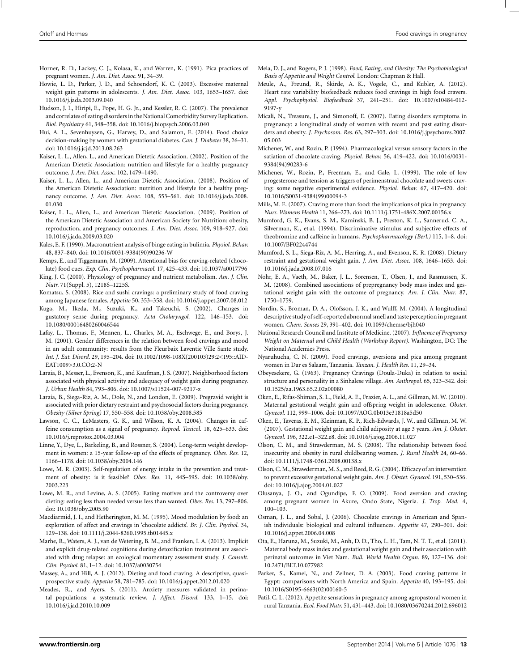- <span id="page-12-0"></span>Horner, R. D., Lackey, C. J., Kolasa, K., and Warren, K. (1991). Pica practices of pregnant women. *J. Am. Diet. Assoc.* 91, 34–39.
- Howie, L. D., Parker, J. D., and Schoendorf, K. C. (2003). Excessive maternal weight gain patterns in adolescents. *J. Am. Diet. Assoc.* 103, 1653–1657. doi: 10.1016/j.jada.2003.09.040
- Hudson, J. I., Hiripi, E., Pope, H. G. Jr., and Kessler, R. C. (2007). The prevalence and correlates of eating disorders in the National Comorbidity Survey Replication. *Biol. Psychiatry* 61, 348–358. doi: 10.1016/j.biopsych.2006.03.040
- Hui, A. L., Sevenhuysen, G., Harvey, D., and Salamon, E. (2014). Food choice decision-making by women with gestational diabetes. *Can. J. Diabetes* 38, 26–31. doi: 10.1016/j.jcjd.2013.08.263
- Kaiser, L. L., Allen, L., and American Dietetic Association. (2002). Position of the American Dietetic Association: nutrition and lifestyle for a healthy pregnancy outcome. *J. Am. Diet. Assoc.* 102, 1479–1490.
- Kaiser, L. L., Allen, L., and American Dietetic Association. (2008). Position of the American Dietetic Association: nutrition and lifestyle for a healthy pregnancy outcome. *J. Am. Diet. Assoc.* 108, 553–561. doi: 10.1016/j.jada.2008. 01.030
- Kaiser, L. L., Allen, L., and American Dietetic Association. (2009). Position of the American Dietetic Association and American Society for Nutrition: obesity, reproduction, and pregnancy outcomes. *J. Am. Diet. Assoc.* 109, 918–927. doi: 10.1016/j.jada.2009.03.020
- Kales, E. F. (1990). Macronutrient analysis of binge eating in bulimia. *Physiol. Behav.* 48, 837–840. doi: 10.1016/0031-9384(90)90236-W
- Kemps, E., and Tiggemann, M. (2009). Attentional bias for craving-related (chocolate) food cues. *Exp. Clin. Psychopharmacol.* 17, 425–433. doi: 10.1037/a0017796
- King, J. C. (2000). Physiology of pregnancy and nutrient metabolism. *Am. J. Clin. Nutr.* 71(Suppl. 5), 1218S–1225S.
- Komatsu, S. (2008). Rice and sushi cravings: a preliminary study of food craving among Japanese females. *Appetite* 50, 353–358. doi: 10.1016/j.appet.2007.08.012
- Kuga, M., Ikeda, M., Suzuki, K., and Takeuchi, S. (2002). Changes in gustatory sense during pregnancy. *Acta Otolaryngol.* 122, 146–153. doi: 10.1080/00016480260046544
- Lafay, L., Thomas, F., Mennen, L., Charles, M. A., Eschwege, E., and Borys, J. M. (2001). Gender differences in the relation between food cravings and mood in an adult community: results from the Fleurbaix Laventie Ville Sante study. *Int. J. Eat. Disord.* 29, 195–204. doi: 10.1002/1098-108X(200103)29:2<195::AID-EAT1009>3.0.CO;2-N
- Laraia, B., Messer, L., Evenson, K., and Kaufman, J. S. (2007). Neighborhood factors associated with physical activity and adequacy of weight gain during pregnancy. *J. Urban Health* 84, 793–806. doi: 10.1007/s11524-007-9217-z
- Laraia, B., Siega-Riz, A. M., Dole, N., and London, E. (2009). Pregravid weight is associated with prior dietary restraint and psychosocial factors during pregnancy. *Obesity (Silver Spring)* 17, 550–558. doi: 10.1038/oby.2008.585
- Lawson, C. C., LeMasters, G. K., and Wilson, K. A. (2004). Changes in caffeine consumption as a signal of pregnancy. *Reprod. Toxicol.* 18, 625–633. doi: 10.1016/j.reprotox.2004.03.004
- Linne, Y., Dye, L., Barkeling, B., and Rossner, S. (2004). Long-term weight development in women: a 15-year follow-up of the effects of pregnancy. *Obes. Res.* 12, 1166–1178. doi: 10.1038/oby.2004.146
- Lowe, M. R. (2003). Self-regulation of energy intake in the prevention and treatment of obesity: is it feasible? *Obes. Res.* 11, 44S–59S. doi: 10.1038/oby. 2003.223
- Lowe, M. R., and Levine, A. S. (2005). Eating motives and the controversy over dieting: eating less than needed versus less than wanted. *Obes. Res.* 13, 797–806. doi: 10.1038/oby.2005.90
- Macdiarmid, J. I., and Hetherington, M. M. (1995). Mood modulation by food: an exploration of affect and cravings in 'chocolate addicts'. *Br. J. Clin. Psychol.* 34, 129–138. doi: 10.1111/j.2044-8260.1995.tb01445.x
- Marhe, R., Waters, A. J., van de Wetering, B. M., and Franken, I. A. (2013). Implicit and explicit drug-related cognitions during detoxification treatment are associated with drug relapse: an ecological momentary assessment study. *J. Consult. Clin. Psychol.* 81, 1–12. doi: 10.1037/a0030754
- Massey, A., and Hill, A. J. (2012). Dieting and food craving. A descriptive, quasiprospective study. *Appetite* 58, 781–785. doi: 10.1016/j.appet.2012.01.020
- Meades, R., and Ayers, S. (2011). Anxiety measures validated in perinatal populations: a systematic review. *J. Affect. Disord.* 133, 1–15. doi: 10.1016/j.jad.2010.10.009
- Mela, D. J., and Rogers, P. J. (1998). *Food, Eating, and Obesity: The Psychobiological Basis of Appetite and Weight Control*. London: Chapman & Hall.
- Meule, A., Freund, R., Skirde, A. K., Vogele, C., and Kubler, A. (2012). Heart rate variability biofeedback reduces food cravings in high food cravers. *Appl. Psychophysiol. Biofeedback* 37, 241–251. doi: 10.1007/s10484-012- 9197-y
- Micali, N., Treasure, J., and Simonoff, E. (2007). Eating disorders symptoms in pregnancy: a longitudinal study of women with recent and past eating disorders and obesity. *J. Psychosom. Res.* 63, 297–303. doi: 10.1016/j.jpsychores.2007. 05.003
- Michener, W., and Rozin, P. (1994). Pharmacological versus sensory factors in the satiation of chocolate craving. *Physiol. Behav.* 56, 419–422. doi: 10.1016/0031- 9384(94)90283-6
- Michener, W., Rozin, P., Freeman, E., and Gale, L. (1999). The role of low progesterone and tension as triggers of perimenstrual chocolate and sweets craving: some negative experimental evidence. *Physiol. Behav.* 67, 417–420. doi: 10.1016/S0031-9384(99)00094-3
- Mills, M. E. (2007). Craving more than food: the implications of pica in pregnancy. *Nurs. Womens Health* 11, 266–273. doi: 10.1111/j.1751-486X.2007.00156.x
- Mumford, G. K., Evans, S. M., Kaminski, B. J., Preston, K. L., Sannerud, C. A., Silverman, K., et al. (1994). Discriminative stimulus and subjective effects of theobromine and caffeine in humans. *Psychopharmacology (Berl.)* 115, 1–8. doi: 10.1007/BF02244744
- Mumford, S. L., Siega-Riz, A. M., Herring, A., and Evenson, K. R. (2008). Dietary restraint and gestational weight gain. *J. Am. Diet. Assoc.* 108, 1646–1653. doi: 10.1016/j.jada.2008.07.016
- Nohr, E. A., Vaeth, M., Baker, J. L., Sorensen, T., Olsen, J., and Rasmussen, K. M. (2008). Combined associations of prepregnancy body mass index and gestational weight gain with the outcome of pregnancy. *Am. J. Clin. Nutr.* 87, 1750–1759.
- Nordin, S., Broman, D. A., Olofsson, J. K., and Wulff, M. (2004). A longitudinal descriptive study of self-reported abnormal smell and taste perception in pregnant women. *Chem. Senses* 29, 391–402. doi: 10.1093/chemse/bjh040
- National Research Council and Institute of Medicine. (2007). *Influence of Pregnancy Weight on Maternal and Child Health (Workshop Report)*. Washington, DC: The National Academies Press.
- Nyaruhucha, C. N. (2009). Food cravings, aversions and pica among pregnant women in Dar es Salaam, Tanzania. *Tanzan. J. Health Res.* 11, 29–34.
- Obeyesekere, G. (1963). Pregnancy Cravings (Doula-Duka) in relation to social structure and personality in a Sinhalese village. *Am. Anthropol.* 65, 323–342. doi: 10.1525/aa.1963.65.2.02a00080
- Oken, E., Rifas-Shiman, S. L., Field, A. E., Frazier, A. L., and Gillman, M. W. (2010). Maternal gestational weight gain and offspring weight in adolescence. *Obstet. Gynecol.* 112, 999–1006. doi: 10.1097/AOG.0b013e31818a5d50
- Oken, E., Taveras, E. M., Kleinman, K. P., Rich-Edwards, J. W., and Gillman, M. W. (2007). Gestational weight gain and child adiposity at age 3 years. *Am. J. Obstet. Gynecol.* 196, 322.e1–322.e8. doi: 10.1016/j.ajog.2006.11.027
- Olson, C. M., and Strawderman, M. S. (2008). The relationship between food insecurity and obesity in rural childbearing women. *J. Rural Health* 24, 60–66. doi: 10.1111/j.1748-0361.2008.00138.x
- Olson, C. M., Strawderman, M. S., and Reed, R. G. (2004). Efficacy of an intervention to prevent excessive gestational weight gain. *Am. J. Obstet. Gynecol.* 191, 530–536. doi: 10.1016/j.ajog.2004.01.027
- Olusanya, J. O., and Ogundipe, F. O. (2009). Food aversion and craving among pregnant women in Akure, Ondo State, Nigeria. *J. Trop. Med.* 4, 100–103.
- Osman, J. L., and Sobal, J. (2006). Chocolate cravings in American and Spanish individuals: biological and cultural influences. *Appetite* 47, 290–301. doi: 10.1016/j.appet.2006.04.008
- Ota, E., Haruna, M., Suzuki, M., Anh, D. D., Tho, L. H., Tam, N. T. T., et al. (2011). Maternal body mass index and gestational weight gain and their association with perinatal outcomes in Viet Nam. *Bull. World Health Organ.* 89, 127–136. doi: 10.2471/BLT.10.077982
- Parker, S., Kamel, N., and Zellner, D. A. (2003). Food craving patterns in Egypt: comparisons with North America and Spain. *Appetite* 40, 193–195. doi: 10.1016/S0195-6663(02)00160-5
- Patil, C. L. (2012). Appetite sensations in pregnancy among agropastoral women in rural Tanzania. *Ecol. Food Nutr.* 51, 431–443. doi: 10.1080/03670244.2012.696012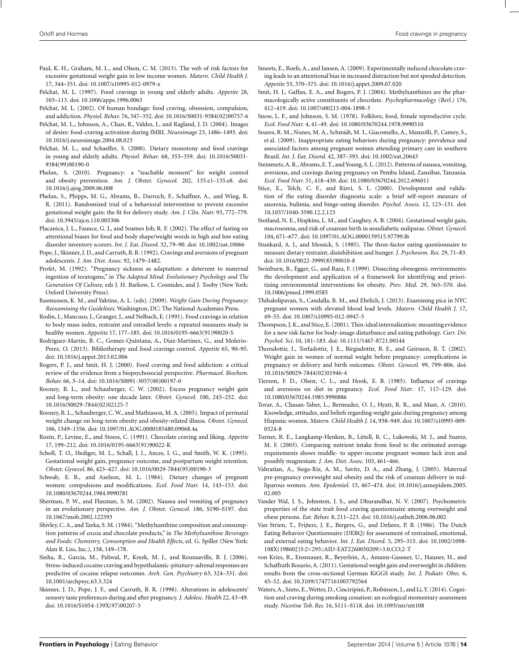- <span id="page-13-0"></span>Paul, K. H., Graham, M. L., and Olson, C. M. (2013). The web of risk factors for excessive gestational weight gain in low income women. *Matern. Child Health J.* 17, 344–351. doi: 10.1007/s10995-012-0979-x
- Pelchat, M. L. (1997). Food cravings in young and elderly adults. *Appetite* 28, 103–113. doi: 10.1006/appe.1996.0063
- Pelchat, M. L. (2002). Of human bondage: food craving, obsession, compulsion, and addiction. *Physiol. Behav.* 76, 347–352. doi: 10.1016/S0031-9384(02)00757-6
- Pelchat, M. L., Johnson, A., Chan, R., Valdez, J., and Ragland, J. D. (2004). Images of desire: food-craving activation during fMRI. *Neuroimage* 23, 1486–1493. doi: 10.1016/j.neuroimage.2004.08.023
- Pelchat, M. L., and Schaeffer, S. (2000). Dietary monotony and food cravings in young and elderly adults. *Physiol. Behav.* 68, 353–359. doi: 10.1016/S0031- 9384(99)00190-0
- Phelan, S. (2010). Pregnancy: a "teachable moment" for weight control and obesity prevention. *Am. J. Obstet. Gynecol.* 202, 135.e1–135.e8. doi: 10.1016/j.ajog.2009.06.008
- Phelan, S., Phipps, M. G., Abrams, B., Darroch, F., Schaffner, A., and Wing, R. R. (2011). Randomized trial of a behavioral intervention to prevent excessive gestational weight gain: the fit for delivery study. *Am. J. Clin. Nutr.* 93, 772–779. doi: 10.3945/ajcn.110.005306
- Placanica, J. L., Faunce, G. J., and Soames Job, R. F. (2002). The effect of fasting on attentional biases for food and body shape/weight words in high and low eating disorder inventory scorers. *Int. J. Eat. Disord.* 32, 79–90. doi: 10.1002/eat.10066
- Pope, J., Skinner, J. D., and Carruth, B. R. (1992). Cravings and aversions of pregnant adolescents. *J. Am. Diet. Assoc.* 92, 1479–1482.
- Profet, M. (1992). "Pregnancy sickness as adaptation: a deterrent to maternal ingestion of teratogens," in *The Adapted Mind: Evolutionary Psychology and The Generation Of Culture*, eds J. H. Barkow, L. Cosmides, and J. Tooby (New York: Oxford University Press).
- Rasmussen, K. M., and Yaktine, A. L. (eds). (2009). *Weight Gain During Pregnancy: Reexamining the Guidelines*. Washington, DC: The National Academies Press.
- Rodin, J., Mancuso, J., Granger, J., and Nelbach, E. (1991). Food cravings in relation to body mass index, restraint and estradiol levels: a repeated measures study in healthy women. *Appetite* 17, 177–185. doi: 10.1016/0195-6663(91)90020-S
- Rodriguez-Martin, B. C., Gomez-Quintana, A., Diaz-Martinez, G., and Molerio-Perez, O. (2013). Bibliotherapy and food cravings control. *Appetite* 65, 90–95. doi: 10.1016/j.appet.2013.02.006
- Rogers, P. J., and Smit, H. J. (2000). Food craving and food addiction: a critical review of the evidence from a biopsychosocial perspective. *Pharmacol. Biochem. Behav.* 66, 3–14. doi: 10.1016/S0091-3057(00)00197-0
- Rooney, B. L., and Schauberger, C. W. (2002). Excess pregnancy weight gain and long-term obesity: one decade later. *Obstet. Gynecol.* 100, 245–252. doi: 10.1016/S0029-7844(02)02125-7
- Rooney, B. L., Schauberger, C. W., and Mathiason, M. A. (2005). Impact of perinatal weight change on long-term obesity and obesity-related illness. *Obstet. Gynecol.* 106, 1349–1356. doi: 10.1097/01.AOG.0000185480.09068.4a
- Rozin, P., Levine, E., and Stoess, C. (1991). Chocolate craving and liking. *Appetite* 17, 199–212. doi: 10.1016/0195-6663(91)90022-K
- Scholl, T. O., Hediger, M. L., Schall, J. I., Ances, I. G., and Smith, W. K. (1995). Gestational weight gain, pregnancy outcome, and postpartum weight retention. *Obstet. Gynecol.* 86, 423–427. doi: 10.1016/0029-7844(95)00190-3
- Schwab, E. B., and Axelson, M. L. (1984). Dietary changes of pregnant women: compulsions and modifications. *Ecol. Food Nutr.* 14, 143–153. doi: 10.1080/03670244.1984.9990781
- Sherman, P. W., and Flaxman, S. M. (2002). Nausea and vomiting of pregnancy in an evolutionary perspective. *Am. J. Obstet. Gynecol.* 186, S190–S197. doi: 10.1067/mob.2002.122593
- Shivley, C. A., and Tarka, S. M. (1984). "Methylxanthine composition and consumption patterns of cocoa and chocolate products," in *The Methylxanthine Beverages and Foods: Chemistry, Consumption and Health Effects*, ed. G. Spiller (New York: Alan R. Liss, Inc.), 158, 149–178.
- Sinha, R., Garcia, M., Paliwal, P., Kreek, M. J., and Rounsaville, B. J. (2006). Stress-induced cocaine craving and hypothalamic-pituitary-adrenal responses are predictive of cocaine relapse outcomes. *Arch. Gen. Psychiatry* 63, 324–331. doi: 10.1001/archpsyc.63.3.324
- Skinner, J. D., Pope, J. F., and Carruth, B. R. (1998). Alterations in adolescents' sensory taste preferences during and after pregnancy. *J. Adolesc. Health* 22, 43–49. doi: 10.1016/S1054-139X(97)00207-3
- Smeets, E., Roefs, A., and Jansen, A. (2009). Experimentally induced chocolate craving leads to an attentional bias in increased distraction but not speeded detection. *Appetite* 53, 370–375. doi: 10.1016/j.appet.2009.07.020
- Smit, H. J., Gaffan, E. A., and Rogers, P. J. (2004). Methylxanthines are the pharmacologically active constituents of chocolate. *Psychopharmacology (Berl.)* 176, 412–419. doi: 10.1007/s00213-004-1898-3
- Snow, L. F., and Johnson, S. M. (1978). Folklore, food, female reproductive cycle. *Ecol. Food Nutr.* 4, 41–49. doi: 10.1080/03670244.1978.9990510
- Soares, R. M., Nunes, M. A., Schmidt, M. I., Giacomello, A., Manzolli, P., Camey, S., et al. (2009). Inappropriate eating behaviors during pregnancy: prevalence and associated factors among pregnant women attending primary care in southern Brazil. *Int. J. Eat. Disord.* 42, 387–393. doi: 10.1002/eat.20643
- Steinmetz, A. R., Abrams, E. T., and Young, S. L. (2012). Patterns of nausea, vomiting, aversions, and cravings during pregnancy on Pemba Island, Zanzibar, Tanzania. *Ecol. Food Nutr.* 51, 418–430. doi: 10.1080/03670244.2012.696011
- Stice, E., Telch, C. F., and Rizvi, S. L. (2000). Development and validation of the eating disorder diagnostic scale: a brief self-report measure of anorexia, bulimia, and binge-eating disorder. *Psychol. Assess.* 12, 123–131. doi: 10.1037/1040-3590.12.2.123
- Stotland, N. E., Hopkins, L. M., and Caughey, A. B. (2004). Gestational weight gain, macrosomia, and risk of cesarean birth in nondiabetic nuliparas. *Obstet. Gynecol.* 104, 671–677. doi: 10.1097/01.AOG.0000139515.97799.f6
- Stunkard, A. J., and Messick, S. (1985). The three-factor eating questionnaire to measure dietary restraint, disinhibition and hunger. *J. Psychosom. Res.* 29, 71–83. doi: 10.1016/0022-3999(85)90010-8
- Swinburn, B., Egger, G., and Raza, F. (1999). Dissecting obesogenic environments: the development and application of a framework for identifying and prioritizing environmental interventions for obesity. *Prev. Med.* 29, 563–570. doi: 10.1006/pmed.1999.0585
- Thihalolipavan, S., Candalla, B. M., and Ehrlich, J. (2013). Examining pica in NYC pregnant women with elevated blood lead levels. *Matern. Child Health J.* 17, 49–55. doi: 10.1007/s10995-012-0947-5
- Thompson, J. K., and Stice, E. (2001). Thin-ideal internalization: mounting evidence for a new risk factor for body-image disturbance and eating pathology. *Curr. Dir. Psychol. Sci.* 10, 181–183. doi: 10.1111/1467-8721.00144
- Thorsdottir, I., Torfadottir, J. E., Birgisdottir, B. E., and Geirsson, R. T. (2002). Weight gain in women of normal weight before pregnancy: complications in pregnancy or delivery and birth outcomes. *Obstet. Gynecol.* 99, 799–806. doi: 10.1016/S0029-7844(02)01946-4
- Tierson, F. D., Olsen, C. L., and Hook, E. B. (1985). Influence of cravings and aversions on diet in pregnancy. *Ecol. Food Nutr.* 17, 117–129. doi: 10.1080/03670244.1985.9990886
- Tovar, A., Chasan-Taber, L., Bermudez, O. I., Hyatt, R. R., and Must, A. (2010). Knowledge, attitudes, and beliefs regarding weight gain during pregnancy among Hispanic women. *Matern. Child Health J.* 14, 938–949. doi: 10.1007/s10995-009- 0524-8
- Turner, R. E., Langkamp-Henken, B., Littell, R. C., Lukowski, M. J., and Suarez, M. F. (2003). Comparing nutrient intake from food to the estimated average requirements shows middle- to upper-income pregnant women lack iron and possibly magnesium. *J. Am. Diet. Assoc.* 103, 461–466.
- Vahratian, A., Siega-Riz, A. M., Savitz, D. A., and Zhang, J. (2005). Maternal pre-pregnancy overweight and obesity and the risk of cesarean delivery in nulliparous women. *Ann. Epidemiol.* 15, 467–474. doi: 10.1016/j.annepidem.2005. 02.005
- Vander Wal, J. S., Johnston, J. S., and Dhurandhar, N. V. (2007). Psychometric properties of the state trait food craving questionnaire among overweight and obese persons. *Eat. Behav.* 8, 211–223. doi: 10.1016/j.eatbeh.2006.06.002
- Van Strien, T., Frijters, J. E., Bergers, G., and Defares, P. B. (1986). The Dutch Eating Behavior Questionnaire (DEBQ) for assessment of restrained, emotional, and external eating behavior. *Int. J. Eat. Disord.* 5, 295–315. doi: 10.1002/1098- 108X(198602)5:2<295::AID-EAT2260050209>3.0.CO;2-T
- von Kries, R., Ensenauer, R., Beyerlein, A., Amann-Gassner, U., Hauner, H., and Schaffrath Rosario, A. (2011). Gestational weight gain and overweight in children: results from the cross-sectional German KiGGS study. *Int. J. Pediatr. Obes.* 6, 45–52. doi: 10.3109/17477161003792564
- Waters, A., Szeto, E.,Wetter, D., Cinciripini, P., Robinson, J., and Li, Y. (2014). Cognition and craving during smoking cessation: an ecological momentary assessment study. *Nicotine Tob. Res.* 16, S111–S118. doi: 10.1093/ntr/ntt108